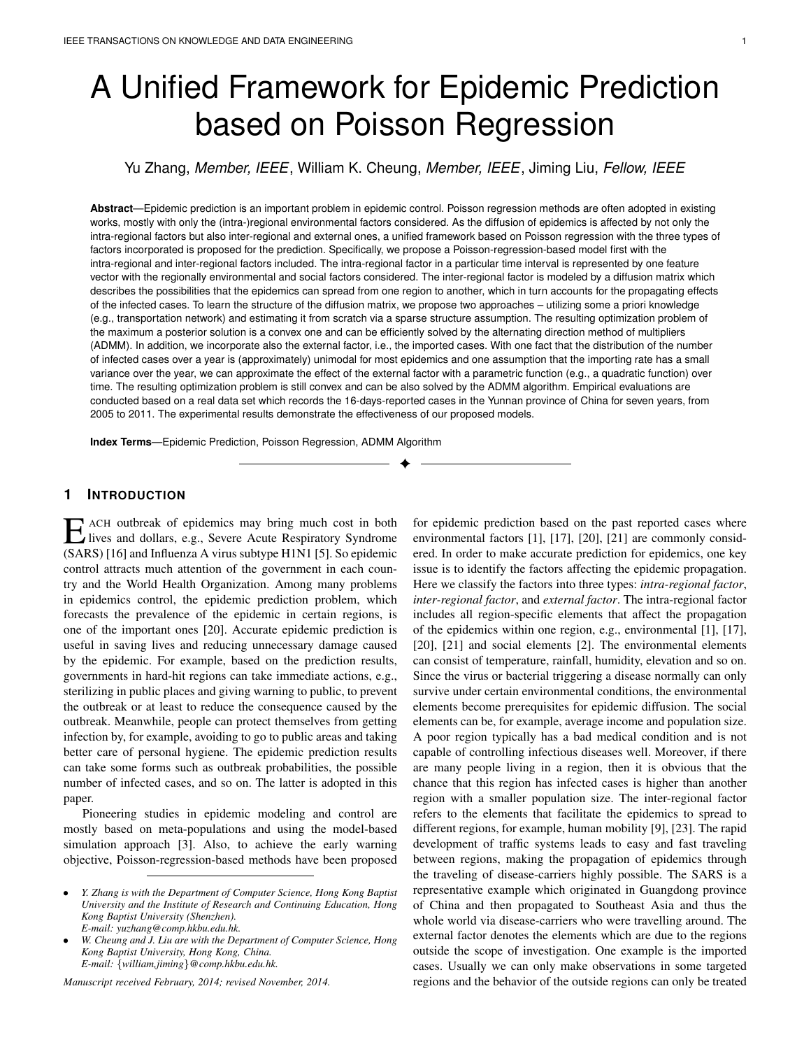# A Unified Framework for Epidemic Prediction based on Poisson Regression

Yu Zhang, *Member, IEEE*, William K. Cheung, *Member, IEEE*, Jiming Liu, *Fellow, IEEE*

**Abstract**—Epidemic prediction is an important problem in epidemic control. Poisson regression methods are often adopted in existing works, mostly with only the (intra-)regional environmental factors considered. As the diffusion of epidemics is affected by not only the intra-regional factors but also inter-regional and external ones, a unified framework based on Poisson regression with the three types of factors incorporated is proposed for the prediction. Specifically, we propose a Poisson-regression-based model first with the intra-regional and inter-regional factors included. The intra-regional factor in a particular time interval is represented by one feature vector with the regionally environmental and social factors considered. The inter-regional factor is modeled by a diffusion matrix which describes the possibilities that the epidemics can spread from one region to another, which in turn accounts for the propagating effects of the infected cases. To learn the structure of the diffusion matrix, we propose two approaches – utilizing some a priori knowledge (e.g., transportation network) and estimating it from scratch via a sparse structure assumption. The resulting optimization problem of the maximum a posterior solution is a convex one and can be efficiently solved by the alternating direction method of multipliers (ADMM). In addition, we incorporate also the external factor, i.e., the imported cases. With one fact that the distribution of the number of infected cases over a year is (approximately) unimodal for most epidemics and one assumption that the importing rate has a small variance over the year, we can approximate the effect of the external factor with a parametric function (e.g., a quadratic function) over time. The resulting optimization problem is still convex and can be also solved by the ADMM algorithm. Empirical evaluations are conducted based on a real data set which records the 16-days-reported cases in the Yunnan province of China for seven years, from 2005 to 2011. The experimental results demonstrate the effectiveness of our proposed models.

✦

**Index Terms**—Epidemic Prediction, Poisson Regression, ADMM Algorithm

## **1 INTRODUCTION**

E ACH outbreak of epidemics may bring much cost in both lives and dollars, e.g., Severe Acute Respiratory Syndrome (SARS) [16] and Influenza A virus subtype H1N1 [5]. So epidemic ACH outbreak of epidemics may bring much cost in both lives and dollars, e.g., Severe Acute Respiratory Syndrome control attracts much attention of the government in each country and the World Health Organization. Among many problems in epidemics control, the epidemic prediction problem, which forecasts the prevalence of the epidemic in certain regions, is one of the important ones [20]. Accurate epidemic prediction is useful in saving lives and reducing unnecessary damage caused by the epidemic. For example, based on the prediction results, governments in hard-hit regions can take immediate actions, e.g., sterilizing in public places and giving warning to public, to prevent the outbreak or at least to reduce the consequence caused by the outbreak. Meanwhile, people can protect themselves from getting infection by, for example, avoiding to go to public areas and taking better care of personal hygiene. The epidemic prediction results can take some forms such as outbreak probabilities, the possible number of infected cases, and so on. The latter is adopted in this paper.

Pioneering studies in epidemic modeling and control are mostly based on meta-populations and using the model-based simulation approach [3]. Also, to achieve the early warning objective, Poisson-regression-based methods have been proposed

*Manuscript received February, 2014; revised November, 2014.*

for epidemic prediction based on the past reported cases where environmental factors [1], [17], [20], [21] are commonly considered. In order to make accurate prediction for epidemics, one key issue is to identify the factors affecting the epidemic propagation. Here we classify the factors into three types: *intra-regional factor*, *inter-regional factor*, and *external factor*. The intra-regional factor includes all region-specific elements that affect the propagation of the epidemics within one region, e.g., environmental [1], [17], [20], [21] and social elements [2]. The environmental elements can consist of temperature, rainfall, humidity, elevation and so on. Since the virus or bacterial triggering a disease normally can only survive under certain environmental conditions, the environmental elements become prerequisites for epidemic diffusion. The social elements can be, for example, average income and population size. A poor region typically has a bad medical condition and is not capable of controlling infectious diseases well. Moreover, if there are many people living in a region, then it is obvious that the chance that this region has infected cases is higher than another region with a smaller population size. The inter-regional factor refers to the elements that facilitate the epidemics to spread to different regions, for example, human mobility [9], [23]. The rapid development of traffic systems leads to easy and fast traveling between regions, making the propagation of epidemics through the traveling of disease-carriers highly possible. The SARS is a representative example which originated in Guangdong province of China and then propagated to Southeast Asia and thus the whole world via disease-carriers who were travelling around. The external factor denotes the elements which are due to the regions outside the scope of investigation. One example is the imported cases. Usually we can only make observations in some targeted regions and the behavior of the outside regions can only be treated

<sup>•</sup> *Y. Zhang is with the Department of Computer Science, Hong Kong Baptist University and the Institute of Research and Continuing Education, Hong Kong Baptist University (Shenzhen). E-mail: yuzhang@comp.hkbu.edu.hk.*

<sup>•</sup> *W. Cheung and J. Liu are with the Department of Computer Science, Hong Kong Baptist University, Hong Kong, China. E-mail:* {*william,jiming*}*@comp.hkbu.edu.hk.*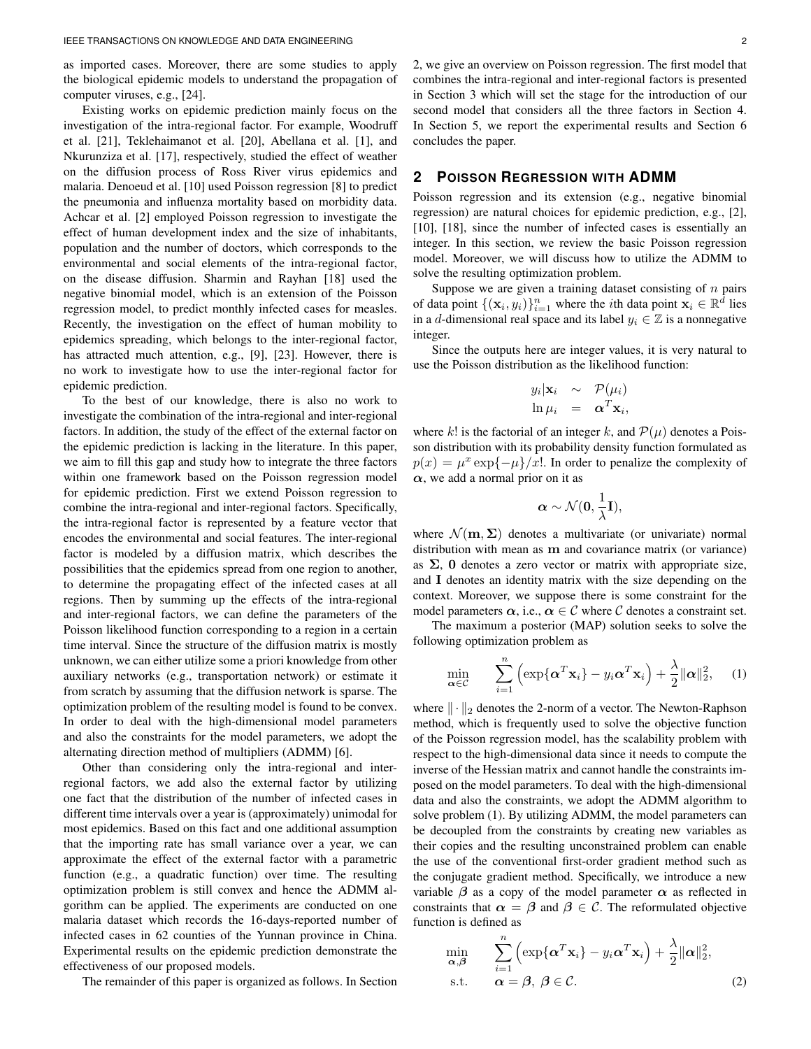as imported cases. Moreover, there are some studies to apply the biological epidemic models to understand the propagation of computer viruses, e.g., [24].

Existing works on epidemic prediction mainly focus on the investigation of the intra-regional factor. For example, Woodruff et al. [21], Teklehaimanot et al. [20], Abellana et al. [1], and Nkurunziza et al. [17], respectively, studied the effect of weather on the diffusion process of Ross River virus epidemics and malaria. Denoeud et al. [10] used Poisson regression [8] to predict the pneumonia and influenza mortality based on morbidity data. Achcar et al. [2] employed Poisson regression to investigate the effect of human development index and the size of inhabitants, population and the number of doctors, which corresponds to the environmental and social elements of the intra-regional factor, on the disease diffusion. Sharmin and Rayhan [18] used the negative binomial model, which is an extension of the Poisson regression model, to predict monthly infected cases for measles. Recently, the investigation on the effect of human mobility to epidemics spreading, which belongs to the inter-regional factor, has attracted much attention, e.g., [9], [23]. However, there is no work to investigate how to use the inter-regional factor for epidemic prediction.

To the best of our knowledge, there is also no work to investigate the combination of the intra-regional and inter-regional factors. In addition, the study of the effect of the external factor on the epidemic prediction is lacking in the literature. In this paper, we aim to fill this gap and study how to integrate the three factors within one framework based on the Poisson regression model for epidemic prediction. First we extend Poisson regression to combine the intra-regional and inter-regional factors. Specifically, the intra-regional factor is represented by a feature vector that encodes the environmental and social features. The inter-regional factor is modeled by a diffusion matrix, which describes the possibilities that the epidemics spread from one region to another, to determine the propagating effect of the infected cases at all regions. Then by summing up the effects of the intra-regional and inter-regional factors, we can define the parameters of the Poisson likelihood function corresponding to a region in a certain time interval. Since the structure of the diffusion matrix is mostly unknown, we can either utilize some a priori knowledge from other auxiliary networks (e.g., transportation network) or estimate it from scratch by assuming that the diffusion network is sparse. The optimization problem of the resulting model is found to be convex. In order to deal with the high-dimensional model parameters and also the constraints for the model parameters, we adopt the alternating direction method of multipliers (ADMM) [6].

Other than considering only the intra-regional and interregional factors, we add also the external factor by utilizing one fact that the distribution of the number of infected cases in different time intervals over a year is (approximately) unimodal for most epidemics. Based on this fact and one additional assumption that the importing rate has small variance over a year, we can approximate the effect of the external factor with a parametric function (e.g., a quadratic function) over time. The resulting optimization problem is still convex and hence the ADMM algorithm can be applied. The experiments are conducted on one malaria dataset which records the 16-days-reported number of infected cases in 62 counties of the Yunnan province in China. Experimental results on the epidemic prediction demonstrate the effectiveness of our proposed models.

The remainder of this paper is organized as follows. In Section

2, we give an overview on Poisson regression. The first model that combines the intra-regional and inter-regional factors is presented in Section 3 which will set the stage for the introduction of our second model that considers all the three factors in Section 4. In Section 5, we report the experimental results and Section 6 concludes the paper.

### **2 POISSON REGRESSION WITH ADMM**

Poisson regression and its extension (e.g., negative binomial regression) are natural choices for epidemic prediction, e.g., [2], [10], [18], since the number of infected cases is essentially an integer. In this section, we review the basic Poisson regression model. Moreover, we will discuss how to utilize the ADMM to solve the resulting optimization problem.

Suppose we are given a training dataset consisting of  $n$  pairs of data point  $\{(\mathbf{x}_i, y_i)\}_{i=1}^n$  where the *i*th data point  $\mathbf{x}_i \in \mathbb{R}^{\hat{d}}$  lies in a *d*-dimensional real space and its label  $y_i \in \mathbb{Z}$  is a nonnegative integer.

Since the outputs here are integer values, it is very natural to use the Poisson distribution as the likelihood function:

$$
y_i|\mathbf{x}_i \sim \mathcal{P}(\mu_i)
$$
  

$$
\ln \mu_i = \mathbf{\alpha}^T \mathbf{x}_i,
$$

where k! is the factorial of an integer k, and  $\mathcal{P}(\mu)$  denotes a Poisson distribution with its probability density function formulated as  $p(x) = \mu^x \exp\{-\mu\}/x!$ . In order to penalize the complexity of  $\alpha$ , we add a normal prior on it as

$$
\alpha \sim \mathcal{N}(0, \frac{1}{\lambda} I),
$$

where  $\mathcal{N}(\mathbf{m}, \Sigma)$  denotes a multivariate (or univariate) normal distribution with mean as **m** and covariance matrix (or variance) as  $\Sigma$ , 0 denotes a zero vector or matrix with appropriate size, and I denotes an identity matrix with the size depending on the context. Moreover, we suppose there is some constraint for the model parameters  $\alpha$ , i.e.,  $\alpha \in \mathcal{C}$  where  $\mathcal C$  denotes a constraint set.

The maximum a posterior (MAP) solution seeks to solve the following optimization problem as

$$
\min_{\mathbf{\alpha} \in \mathcal{C}} \qquad \sum_{i=1}^{n} \left( \exp\{\mathbf{\alpha}^{T} \mathbf{x}_{i}\} - y_{i} \mathbf{\alpha}^{T} \mathbf{x}_{i} \right) + \frac{\lambda}{2} ||\mathbf{\alpha}||_{2}^{2}, \quad (1)
$$

where  $\|\cdot\|_2$  denotes the 2-norm of a vector. The Newton-Raphson method, which is frequently used to solve the objective function of the Poisson regression model, has the scalability problem with respect to the high-dimensional data since it needs to compute the inverse of the Hessian matrix and cannot handle the constraints imposed on the model parameters. To deal with the high-dimensional data and also the constraints, we adopt the ADMM algorithm to solve problem (1). By utilizing ADMM, the model parameters can be decoupled from the constraints by creating new variables as their copies and the resulting unconstrained problem can enable the use of the conventional first-order gradient method such as the conjugate gradient method. Specifically, we introduce a new variable  $\beta$  as a copy of the model parameter  $\alpha$  as reflected in constraints that  $\alpha = \beta$  and  $\beta \in \mathcal{C}$ . The reformulated objective function is defined as

$$
\min_{\mathbf{\alpha}, \mathbf{\beta}} \qquad \sum_{i=1}^{n} \left( \exp\{\mathbf{\alpha}^{T} \mathbf{x}_{i}\} - y_{i} \mathbf{\alpha}^{T} \mathbf{x}_{i} \right) + \frac{\lambda}{2} ||\mathbf{\alpha}||_{2}^{2},
$$
\n
$$
\text{s.t.} \qquad \mathbf{\alpha} = \mathbf{\beta}, \ \mathbf{\beta} \in \mathcal{C}.
$$
\n
$$
(2)
$$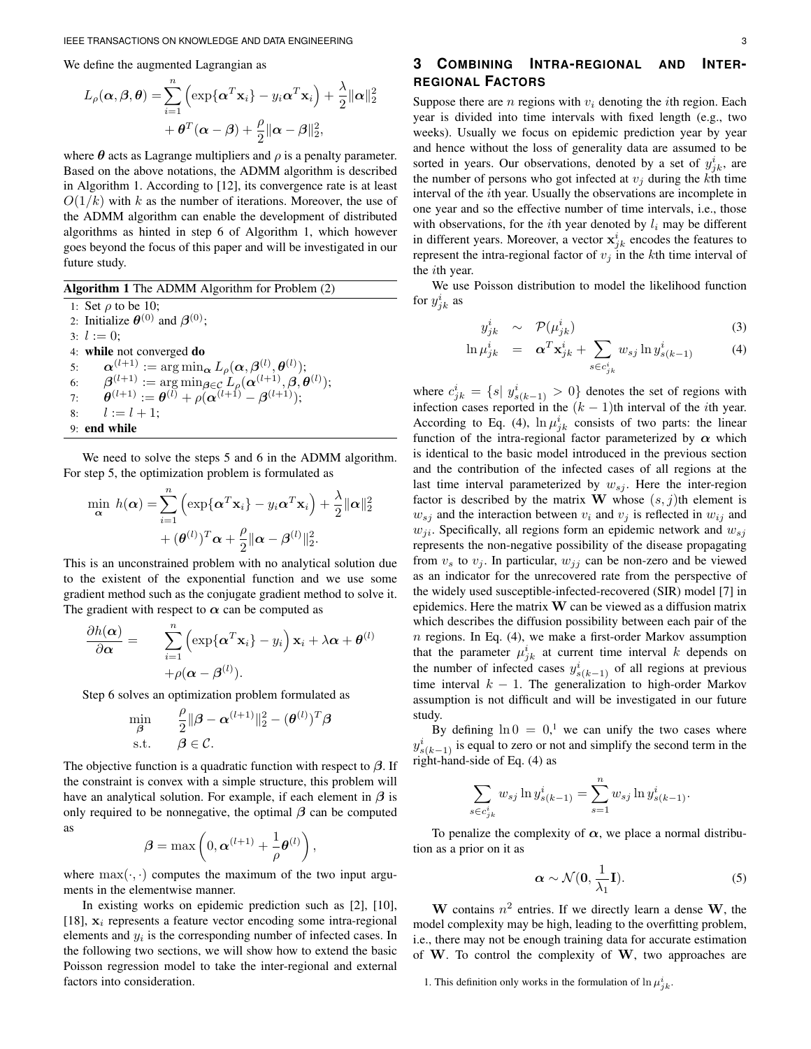We define the augmented Lagrangian as

$$
L_{\rho}(\boldsymbol{\alpha}, \boldsymbol{\beta}, \boldsymbol{\theta}) = \sum_{i=1}^{n} \left( \exp\{\boldsymbol{\alpha}^{T}\mathbf{x}_{i}\} - y_{i}\boldsymbol{\alpha}^{T}\mathbf{x}_{i}\right) + \frac{\lambda}{2} ||\boldsymbol{\alpha}||_{2}^{2} + \boldsymbol{\theta}^{T}(\boldsymbol{\alpha} - \boldsymbol{\beta}) + \frac{\rho}{2} ||\boldsymbol{\alpha} - \boldsymbol{\beta}||_{2}^{2},
$$

where  $\theta$  acts as Lagrange multipliers and  $\rho$  is a penalty parameter. Based on the above notations, the ADMM algorithm is described in Algorithm 1. According to [12], its convergence rate is at least  $O(1/k)$  with k as the number of iterations. Moreover, the use of the ADMM algorithm can enable the development of distributed algorithms as hinted in step 6 of Algorithm 1, which however goes beyond the focus of this paper and will be investigated in our future study.

Algorithm 1 The ADMM Algorithm for Problem (2) 1: Set  $\rho$  to be 10; 2: Initialize  $\theta^{(0)}$  and  $\beta^{(0)}$ ; 3:  $l := 0$ ; 4: while not converged do 5:  $\boldsymbol{\alpha}^{(l+1)} := \argmin_{\boldsymbol{\alpha}} L_{\rho}(\boldsymbol{\alpha}, \boldsymbol{\beta}^{(l)}, \boldsymbol{\theta}^{(l)});$ 6:  $\beta^{(l+1)} := \arg \min_{\boldsymbol{\beta} \in \mathcal{C}} L_{\rho}(\boldsymbol{\alpha}^{(l+1)}, \boldsymbol{\beta}, \boldsymbol{\theta}^{(l)});$ 7:  $\bm{\theta}^{(l+1)} := \bm{\theta}^{(l)} + \rho(\bm{\alpha}^{(l+1)} - \bm{\beta}^{(l+1)});$ 8:  $l := l + 1;$ 9: end while

We need to solve the steps 5 and 6 in the ADMM algorithm. For step 5, the optimization problem is formulated as

$$
\min_{\mathbf{\alpha}} h(\mathbf{\alpha}) = \sum_{i=1}^{n} \left( \exp\{\mathbf{\alpha}^{T} \mathbf{x}_{i}\} - y_{i} \mathbf{\alpha}^{T} \mathbf{x}_{i} \right) + \frac{\lambda}{2} ||\mathbf{\alpha}||_{2}^{2} + (\boldsymbol{\theta}^{(l)})^{T} \mathbf{\alpha} + \frac{\rho}{2} ||\mathbf{\alpha} - \boldsymbol{\beta}^{(l)}||_{2}^{2}.
$$

This is an unconstrained problem with no analytical solution due to the existent of the exponential function and we use some gradient method such as the conjugate gradient method to solve it. The gradient with respect to  $\alpha$  can be computed as

$$
\frac{\partial h(\boldsymbol{\alpha})}{\partial \boldsymbol{\alpha}} = \sum_{i=1}^{n} \left( \exp\{\boldsymbol{\alpha}^{T} \mathbf{x}_{i}\} - y_{i} \right) \mathbf{x}_{i} + \lambda \boldsymbol{\alpha} + \boldsymbol{\theta}^{(l)} + \rho(\boldsymbol{\alpha} - \boldsymbol{\beta}^{(l)}).
$$

Step 6 solves an optimization problem formulated as

$$
\min_{\boldsymbol{\beta}} \qquad \frac{\rho}{2} \|\boldsymbol{\beta} - \boldsymbol{\alpha}^{(l+1)}\|_2^2 - (\boldsymbol{\theta}^{(l)})^T \boldsymbol{\beta} \n\text{s.t.} \qquad \boldsymbol{\beta} \in \mathcal{C}.
$$

The objective function is a quadratic function with respect to  $\beta$ . If the constraint is convex with a simple structure, this problem will have an analytical solution. For example, if each element in  $\beta$  is only required to be nonnegative, the optimal  $\beta$  can be computed as

$$
\boldsymbol{\beta} = \max\left(0, \boldsymbol{\alpha}^{(l+1)} + \frac{1}{\rho}\boldsymbol{\theta}^{(l)}\right),\,
$$

where  $\max(\cdot, \cdot)$  computes the maximum of the two input arguments in the elementwise manner.

In existing works on epidemic prediction such as [2], [10], [18],  $x_i$  represents a feature vector encoding some intra-regional elements and  $y_i$  is the corresponding number of infected cases. In the following two sections, we will show how to extend the basic Poisson regression model to take the inter-regional and external factors into consideration.

# **3 COMBINING INTRA-REGIONAL AND INTER-REGIONAL FACTORS**

Suppose there are  $n$  regions with  $v_i$  denoting the *i*th region. Each year is divided into time intervals with fixed length (e.g., two weeks). Usually we focus on epidemic prediction year by year and hence without the loss of generality data are assumed to be sorted in years. Our observations, denoted by a set of  $y_{jk}^i$ , are the number of persons who got infected at  $v_j$  during the kth time interval of the ith year. Usually the observations are incomplete in one year and so the effective number of time intervals, i.e., those with observations, for the *i*th year denoted by  $l_i$  may be different in different years. Moreover, a vector  $\mathbf{x}_{jk}^i$  encodes the features to represent the intra-regional factor of  $v_j$  in the kth time interval of the ith year.

We use Poisson distribution to model the likelihood function for  $y^i_{jk}$  as

$$
y_{jk}^{i} \sim \mathcal{P}(\mu_{jk}^{i}) \tag{3}
$$

$$
\ln \mu_{jk}^i = \boldsymbol{\alpha}^T \mathbf{x}_{jk}^i + \sum_{s \in c_{jk}^i} w_{sj} \ln y_{s(k-1)}^i \tag{4}
$$

where  $c_{jk}^i = \{s | y_{s(k-1)}^i > 0\}$  denotes the set of regions with infection cases reported in the  $(k - 1)$ th interval of the *i*th year. According to Eq. (4),  $\ln \mu_{jk}^{i}$  consists of two parts: the linear function of the intra-regional factor parameterized by  $\alpha$  which is identical to the basic model introduced in the previous section and the contribution of the infected cases of all regions at the last time interval parameterized by  $w_{s_i}$ . Here the inter-region factor is described by the matrix W whose  $(s, j)$ th element is  $w_{si}$  and the interaction between  $v_i$  and  $v_j$  is reflected in  $w_{ij}$  and  $w_{ji}$ . Specifically, all regions form an epidemic network and  $w_{sj}$ represents the non-negative possibility of the disease propagating from  $v_s$  to  $v_i$ . In particular,  $w_{ij}$  can be non-zero and be viewed as an indicator for the unrecovered rate from the perspective of the widely used susceptible-infected-recovered (SIR) model [7] in epidemics. Here the matrix  $W$  can be viewed as a diffusion matrix which describes the diffusion possibility between each pair of the  $n$  regions. In Eq. (4), we make a first-order Markov assumption that the parameter  $\mu_{jk}^i$  at current time interval k depends on the number of infected cases  $y_{s(k-1)}^i$  of all regions at previous time interval  $k - 1$ . The generalization to high-order Markov assumption is not difficult and will be investigated in our future study.

By defining  $\ln 0 = 0$ ,<sup>1</sup> we can unify the two cases where  $y_{s(k-1)}^i$  is equal to zero or not and simplify the second term in the right-hand-side of Eq. (4) as

$$
\sum_{s \in c_{jk}^{i}} w_{sj} \ln y_{s(k-1)}^{i} = \sum_{s=1}^{n} w_{sj} \ln y_{s(k-1)}^{i}.
$$

To penalize the complexity of  $\alpha$ , we place a normal distribution as a prior on it as

$$
\alpha \sim \mathcal{N}(0, \frac{1}{\lambda_1} \mathbf{I}).
$$
 (5)

W contains  $n^2$  entries. If we directly learn a dense W, the model complexity may be high, leading to the overfitting problem, i.e., there may not be enough training data for accurate estimation of  $W$ . To control the complexity of  $W$ , two approaches are

<sup>1.</sup> This definition only works in the formulation of  $\ln \mu_{jk}^i$ .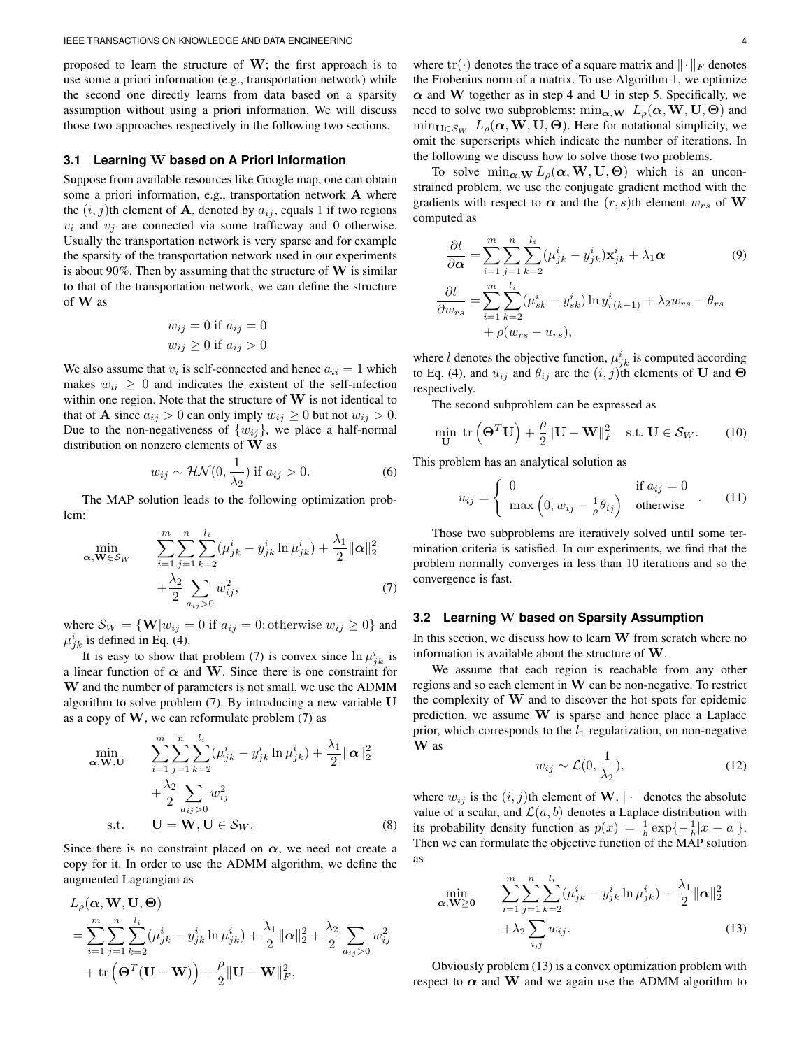proposed to learn the structure of  $W$ ; the first approach is to use some a priori information (e.g., transportation network) while the second one directly learns from data based on a sparsity assumption without using a priori information. We will discuss those two approaches respectively in the following two sections.

#### **3.1 Learning** W **based on A Priori Information**

Suppose from available resources like Google map, one can obtain some a priori information, e.g., transportation network  $A$  where the  $(i, j)$ th element of **A**, denoted by  $a_{ij}$ , equals 1 if two regions  $v_i$  and  $v_j$  are connected via some trafficway and 0 otherwise. Usually the transportation network is very sparse and for example the sparsity of the transportation network used in our experiments is about 90%. Then by assuming that the structure of  $W$  is similar to that of the transportation network, we can define the structure of W as

$$
w_{ij} = 0
$$
 if  $a_{ij} = 0$   

$$
w_{ij} \ge 0
$$
 if  $a_{ij} > 0$ 

We also assume that  $v_i$  is self-connected and hence  $a_{ii} = 1$  which makes  $w_{ii} \geq 0$  and indicates the existent of the self-infection within one region. Note that the structure of  $W$  is not identical to that of **A** since  $a_{ij} > 0$  can only imply  $w_{ij} \ge 0$  but not  $w_{ij} > 0$ . Due to the non-negativeness of  $\{w_{ij}\}\$ , we place a half-normal distribution on nonzero elements of W as

$$
w_{ij} \sim \mathcal{HN}(0, \frac{1}{\lambda_2}) \text{ if } a_{ij} > 0. \tag{6}
$$

The MAP solution leads to the following optimization problem:

$$
\min_{\mathbf{\alpha}, \mathbf{W} \in \mathcal{S}_{W}} \qquad \sum_{i=1}^{m} \sum_{j=1}^{n} \sum_{k=2}^{l_{i}} (\mu_{jk}^{i} - y_{jk}^{i} \ln \mu_{jk}^{i}) + \frac{\lambda_{1}}{2} ||\mathbf{\alpha}||_{2}^{2} + \frac{\lambda_{2}}{2} \sum_{a_{ij} > 0} w_{ij}^{2},
$$
\n(7)

where  $S_W = \{ \mathbf{W} | w_{ij} = 0 \text{ if } a_{ij} = 0; \text{otherwise } w_{ij} \ge 0 \}$  and  $\mu_{jk}^{i}$  is defined in Eq. (4).

It is easy to show that problem (7) is convex since  $\ln \mu_{jk}^i$  is a linear function of  $\alpha$  and W. Since there is one constraint for W and the number of parameters is not small, we use the ADMM algorithm to solve problem (7). By introducing a new variable U as a copy of  $W$ , we can reformulate problem  $(7)$  as

$$
\min_{\mathbf{\alpha}, \mathbf{W}, \mathbf{U}} \qquad \sum_{i=1}^{m} \sum_{j=1}^{n} \sum_{k=2}^{l_i} (\mu_{jk}^i - y_{jk}^i \ln \mu_{jk}^i) + \frac{\lambda_1}{2} ||\mathbf{\alpha}||_2^2
$$
\n
$$
+ \frac{\lambda_2}{2} \sum_{a_{ij} > 0} w_{ij}^2
$$
\n
$$
\text{s.t.} \qquad \mathbf{U} = \mathbf{W}, \mathbf{U} \in \mathcal{S}_W. \tag{8}
$$

Since there is no constraint placed on  $\alpha$ , we need not create a copy for it. In order to use the ADMM algorithm, we define the augmented Lagrangian as

$$
L_{\rho}(\boldsymbol{\alpha}, \mathbf{W}, \mathbf{U}, \boldsymbol{\Theta})
$$
  
= 
$$
\sum_{i=1}^{m} \sum_{j=1}^{n} \sum_{k=2}^{l_i} (\mu_{jk}^i - y_{jk}^i \ln \mu_{jk}^i) + \frac{\lambda_1}{2} ||\boldsymbol{\alpha}||_2^2 + \frac{\lambda_2}{2} \sum_{a_{ij} > 0} w_{ij}^2
$$
  
+ 
$$
\text{tr}(\boldsymbol{\Theta}^T(\mathbf{U} - \mathbf{W})) + \frac{\rho}{2} ||\mathbf{U} - \mathbf{W}||_F^2,
$$

where  $\text{tr}(\cdot)$  denotes the trace of a square matrix and  $\|\cdot\|_F$  denotes the Frobenius norm of a matrix. To use Algorithm 1, we optimize  $\alpha$  and W together as in step 4 and U in step 5. Specifically, we need to solve two subproblems:  $\min_{\alpha,\mathbf{W}} L_{\rho}(\alpha,\mathbf{W},\mathbf{U},\Theta)$  and  $\min_{\mathbf{U}\in\mathcal{S}_{W}} L_{\rho}(\alpha, \mathbf{W}, \mathbf{U}, \Theta)$ . Here for notational simplicity, we omit the superscripts which indicate the number of iterations. In the following we discuss how to solve those two problems.

To solve  $\min_{\alpha, \mathbf{W}} L_{\rho}(\alpha, \mathbf{W}, \mathbf{U}, \Theta)$  which is an unconstrained problem, we use the conjugate gradient method with the gradients with respect to  $\alpha$  and the  $(r, s)$ th element  $w_{rs}$  of W computed as

$$
\frac{\partial l}{\partial \alpha} = \sum_{i=1}^{m} \sum_{j=1}^{n} \sum_{k=2}^{l_i} (\mu_{jk}^i - y_{jk}^i) \mathbf{x}_{jk}^i + \lambda_1 \alpha
$$
(9)  

$$
\frac{\partial l}{\partial w_{rs}} = \sum_{i=1}^{m} \sum_{k=2}^{l_i} (\mu_{sk}^i - y_{sk}^i) \ln y_{r(k-1)}^i + \lambda_2 w_{rs} - \theta_{rs}
$$

$$
+ \rho(w_{rs} - u_{rs}),
$$

where l denotes the objective function,  $\mu_{jk}^{i}$  is computed according to Eq. (4), and  $u_{ij}$  and  $\theta_{ij}$  are the  $(i, j)$ th elements of U and  $\Theta$ respectively.

The second subproblem can be expressed as

$$
\min_{\mathbf{U}} \text{ tr}\left(\mathbf{\Theta}^T \mathbf{U}\right) + \frac{\rho}{2} \|\mathbf{U} - \mathbf{W}\|_F^2 \quad \text{s.t. } \mathbf{U} \in \mathcal{S}_W. \tag{10}
$$

This problem has an analytical solution as

$$
u_{ij} = \begin{cases} 0 & \text{if } a_{ij} = 0\\ \max\left(0, w_{ij} - \frac{1}{\rho} \theta_{ij}\right) & \text{otherwise} \end{cases}
$$
 (11)

Those two subproblems are iteratively solved until some termination criteria is satisfied. In our experiments, we find that the problem normally converges in less than 10 iterations and so the convergence is fast.

#### **3.2 Learning** W **based on Sparsity Assumption**

In this section, we discuss how to learn  $W$  from scratch where no information is available about the structure of W.

We assume that each region is reachable from any other regions and so each element in W can be non-negative. To restrict the complexity of  $W$  and to discover the hot spots for epidemic prediction, we assume W is sparse and hence place a Laplace prior, which corresponds to the  $l_1$  regularization, on non-negative W as

$$
w_{ij} \sim \mathcal{L}(0, \frac{1}{\lambda_2}),\tag{12}
$$

where  $w_{ij}$  is the  $(i, j)$ th element of **W**,  $|\cdot|$  denotes the absolute value of a scalar, and  $\mathcal{L}(a, b)$  denotes a Laplace distribution with its probability density function as  $p(x) = \frac{1}{b} \exp\{-\frac{1}{b}|x - a|\}.$ Then we can formulate the objective function of the MAP solution as

$$
\min_{\mathbf{\alpha}, \mathbf{W} \ge \mathbf{0}} \qquad \sum_{i=1}^{m} \sum_{j=1}^{n} \sum_{k=2}^{l_i} (\mu_{jk}^i - y_{jk}^i \ln \mu_{jk}^i) + \frac{\lambda_1}{2} ||\mathbf{\alpha}||_2^2
$$
\n
$$
+ \lambda_2 \sum_{i,j} w_{ij}.
$$
\n(13)

Obviously problem (13) is a convex optimization problem with respect to  $\alpha$  and W and we again use the ADMM algorithm to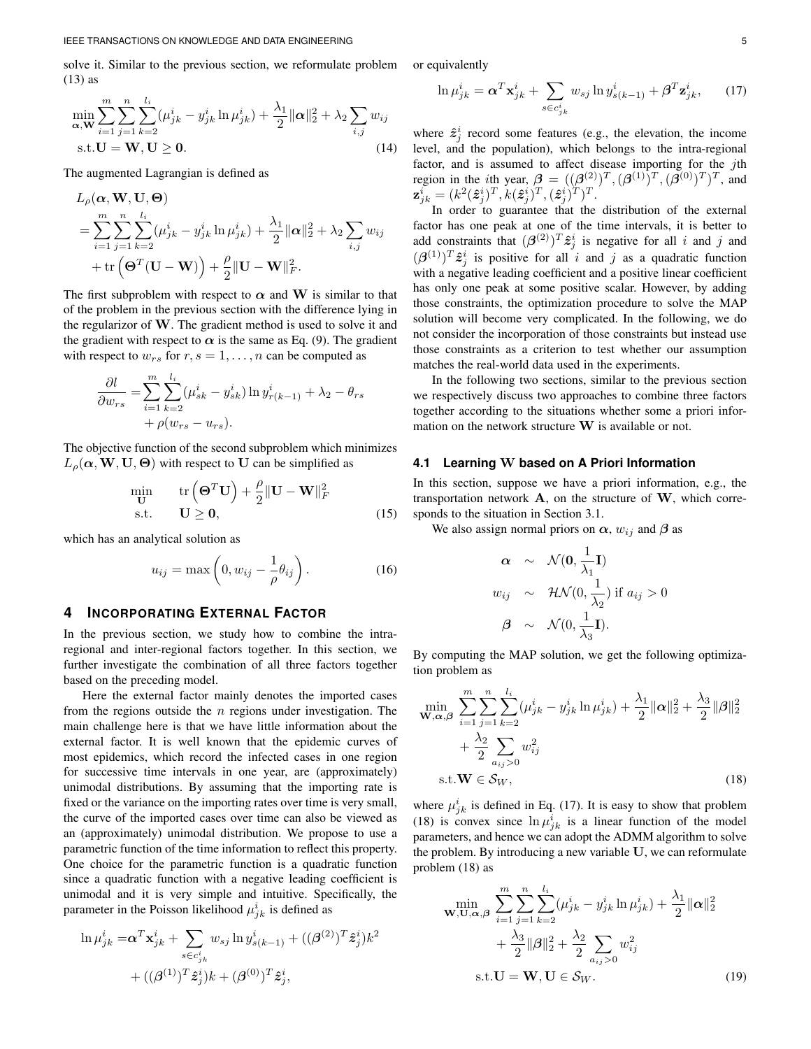solve it. Similar to the previous section, we reformulate problem (13) as

$$
\min_{\mathbf{\alpha}, \mathbf{W}} \sum_{i=1}^{m} \sum_{j=1}^{n} \sum_{k=2}^{l_i} (\mu_{jk}^i - y_{jk}^i \ln \mu_{jk}^i) + \frac{\lambda_1}{2} ||\mathbf{\alpha}||_2^2 + \lambda_2 \sum_{i,j} w_{ij}
$$
  
s.t.  $\mathbf{U} = \mathbf{W}, \mathbf{U} \ge \mathbf{0}.$  (14)

The augmented Lagrangian is defined as

$$
L_{\rho}(\boldsymbol{\alpha}, \mathbf{W}, \mathbf{U}, \boldsymbol{\Theta})
$$
  
= 
$$
\sum_{i=1}^{m} \sum_{j=1}^{n} \sum_{k=2}^{l_i} (\mu_{jk}^i - y_{jk}^i \ln \mu_{jk}^i) + \frac{\lambda_1}{2} ||\boldsymbol{\alpha}||_2^2 + \lambda_2 \sum_{i,j} w_{ij}
$$
  
+ 
$$
\text{tr}(\boldsymbol{\Theta}^T(\mathbf{U} - \mathbf{W})) + \frac{\rho}{2} ||\mathbf{U} - \mathbf{W}||_F^2.
$$

The first subproblem with respect to  $\alpha$  and W is similar to that of the problem in the previous section with the difference lying in the regularizor of W. The gradient method is used to solve it and the gradient with respect to  $\alpha$  is the same as Eq. (9). The gradient with respect to  $w_{rs}$  for  $r, s = 1, \ldots, n$  can be computed as

$$
\frac{\partial l}{\partial w_{rs}} = \sum_{i=1}^{m} \sum_{k=2}^{l_i} (\mu_{sk}^i - y_{sk}^i) \ln y_{r(k-1)}^i + \lambda_2 - \theta_{rs} + \rho(w_{rs} - u_{rs}).
$$

The objective function of the second subproblem which minimizes  $L_{\rho}(\alpha, \mathbf{W}, \mathbf{U}, \Theta)$  with respect to U can be simplified as

$$
\min_{\mathbf{U}} \quad \text{tr}\left(\mathbf{\Theta}^T \mathbf{U}\right) + \frac{\rho}{2} \|\mathbf{U} - \mathbf{W}\|_F^2
$$
\n
$$
\text{s.t.} \quad \mathbf{U} \ge \mathbf{0}, \tag{15}
$$

which has an analytical solution as

$$
u_{ij} = \max\left(0, w_{ij} - \frac{1}{\rho} \theta_{ij}\right). \tag{16}
$$

## **4 INCORPORATING EXTERNAL FACTOR**

In the previous section, we study how to combine the intraregional and inter-regional factors together. In this section, we further investigate the combination of all three factors together based on the preceding model.

Here the external factor mainly denotes the imported cases from the regions outside the  $n$  regions under investigation. The main challenge here is that we have little information about the external factor. It is well known that the epidemic curves of most epidemics, which record the infected cases in one region for successive time intervals in one year, are (approximately) unimodal distributions. By assuming that the importing rate is fixed or the variance on the importing rates over time is very small, the curve of the imported cases over time can also be viewed as an (approximately) unimodal distribution. We propose to use a parametric function of the time information to reflect this property. One choice for the parametric function is a quadratic function since a quadratic function with a negative leading coefficient is unimodal and it is very simple and intuitive. Specifically, the parameter in the Poisson likelihood  $\mu_{jk}^i$  is defined as

$$
\ln \mu_{jk}^i = \alpha^T \mathbf{x}_{jk}^i + \sum_{s \in c_{jk}^i} w_{sj} \ln y_{s(k-1)}^i + ((\beta^{(2)})^T \hat{\mathbf{z}}_j^i) k^2 + ((\beta^{(1)})^T \hat{\mathbf{z}}_j^i) k + (\beta^{(0)})^T \hat{\mathbf{z}}_j^i,
$$

or equivalently

$$
\ln \mu_{jk}^i = \boldsymbol{\alpha}^T \mathbf{x}_{jk}^i + \sum_{s \in c_{jk}^i} w_{sj} \ln y_{s(k-1)}^i + \boldsymbol{\beta}^T \mathbf{z}_{jk}^i, \qquad (17)
$$

where  $\hat{z}_j^i$  record some features (e.g., the elevation, the income level, and the population), which belongs to the intra-regional factor, and is assumed to affect disease importing for the jth region in the *i*th year,  $\beta = ((\beta^{(2)})^T, (\beta^{(1)})^T, (\beta^{(0)})^T)^T$ , and  $\mathbf{z}_{jk}^i = (k^2(\hat{\boldsymbol{z}}_j^i)^T, k(\hat{\boldsymbol{z}}_j^i)^T, (\hat{\boldsymbol{z}}_j^i)^T)^T.$ 

In order to guarantee that the distribution of the external factor has one peak at one of the time intervals, it is better to add constraints that  $(\beta^{(2)})^T \hat{z}_j^i$  is negative for all i and j and  $(\beta^{(1)})^T \hat{z}^i_j$  is positive for all i and j as a quadratic function with a negative leading coefficient and a positive linear coefficient has only one peak at some positive scalar. However, by adding those constraints, the optimization procedure to solve the MAP solution will become very complicated. In the following, we do not consider the incorporation of those constraints but instead use those constraints as a criterion to test whether our assumption matches the real-world data used in the experiments.

In the following two sections, similar to the previous section we respectively discuss two approaches to combine three factors together according to the situations whether some a priori information on the network structure  $W$  is available or not.

#### **4.1 Learning** W **based on A Priori Information**

In this section, suppose we have a priori information, e.g., the transportation network  $A$ , on the structure of  $W$ , which corresponds to the situation in Section 3.1.

We also assign normal priors on  $\alpha$ ,  $w_{ij}$  and  $\beta$  as

$$
\alpha \sim \mathcal{N}(\mathbf{0}, \frac{1}{\lambda_1} \mathbf{I})
$$
  
\n
$$
w_{ij} \sim \mathcal{HN}(0, \frac{1}{\lambda_2}) \text{ if } a_{ij} > 0
$$
  
\n
$$
\beta \sim \mathcal{N}(0, \frac{1}{\lambda_3} \mathbf{I}).
$$

By computing the MAP solution, we get the following optimization problem as

$$
\min_{\mathbf{W}, \alpha, \beta} \sum_{i=1}^{m} \sum_{j=1}^{n} \sum_{k=2}^{l_i} (\mu_{jk}^i - y_{jk}^i \ln \mu_{jk}^i) + \frac{\lambda_1}{2} ||\alpha||_2^2 + \frac{\lambda_3}{2} ||\beta||_2^2
$$
  
+  $\frac{\lambda_2}{2} \sum_{a_{ij} > 0} w_{ij}^2$   
s.t.  $\mathbf{W} \in \mathcal{S}_W$ , (18)

where  $\mu_{jk}^{i}$  is defined in Eq. (17). It is easy to show that problem (18) is convex since  $\ln \mu_{jk}^i$  is a linear function of the model parameters, and hence we can adopt the ADMM algorithm to solve the problem. By introducing a new variable U, we can reformulate problem (18) as

$$
\min_{\mathbf{W}, \mathbf{U}, \alpha, \beta} \sum_{i=1}^{m} \sum_{j=1}^{n} \sum_{k=2}^{l_i} (\mu_{jk}^i - y_{jk}^i \ln \mu_{jk}^i) + \frac{\lambda_1}{2} ||\alpha||_2^2
$$
  
+  $\frac{\lambda_3}{2} ||\beta||_2^2 + \frac{\lambda_2}{2} \sum_{a_{ij} > 0} w_{ij}^2$   
s.t.  $\mathbf{U} = \mathbf{W}, \mathbf{U} \in \mathcal{S}_W$ . (19)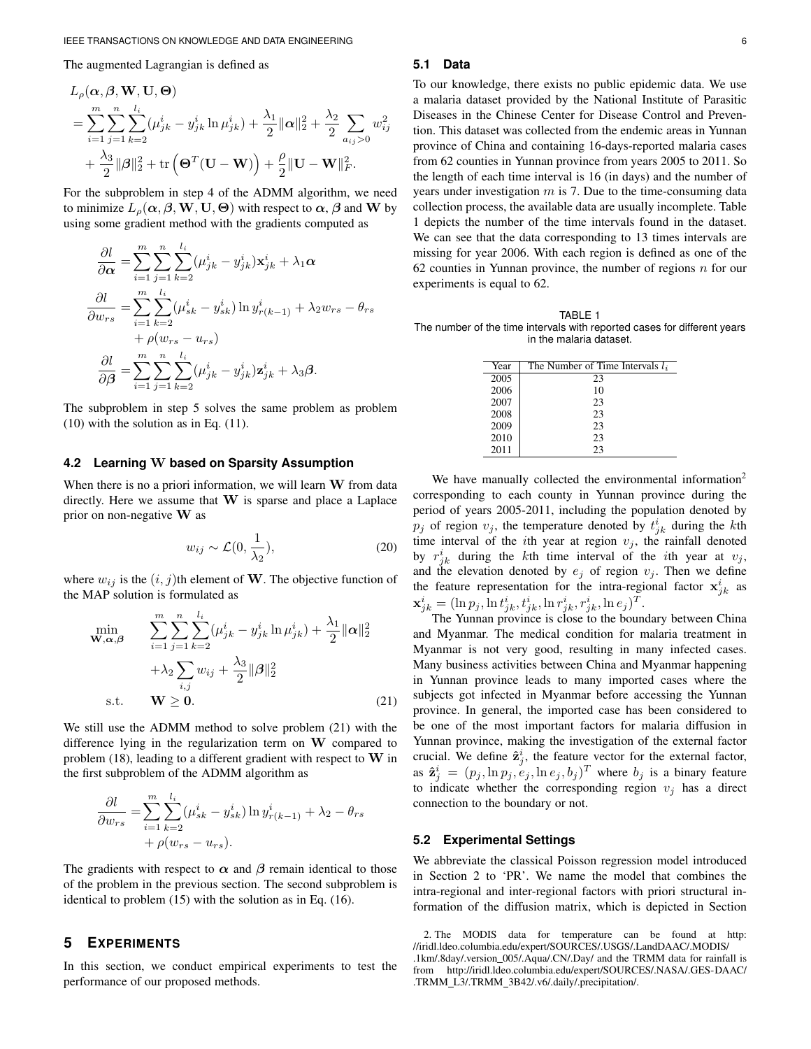The augmented Lagrangian is defined as

$$
L_{\rho}(\boldsymbol{\alpha}, \boldsymbol{\beta}, \mathbf{W}, \mathbf{U}, \boldsymbol{\Theta})
$$
  
= 
$$
\sum_{i=1}^{m} \sum_{j=1}^{n} \sum_{k=2}^{l_i} (\mu_{jk}^i - y_{jk}^i \ln \mu_{jk}^i) + \frac{\lambda_1}{2} ||\boldsymbol{\alpha}||_2^2 + \frac{\lambda_2}{2} \sum_{a_{ij} > 0} w_{ij}^2
$$
  
+ 
$$
\frac{\lambda_3}{2} ||\boldsymbol{\beta}||_2^2 + \text{tr}(\boldsymbol{\Theta}^T(\mathbf{U} - \mathbf{W})) + \frac{\rho}{2} ||\mathbf{U} - \mathbf{W}||_F^2.
$$

For the subproblem in step 4 of the ADMM algorithm, we need to minimize  $L_{\rho}(\alpha, \beta, \mathbf{W}, \mathbf{U}, \boldsymbol{\Theta})$  with respect to  $\alpha$ ,  $\beta$  and **W** by using some gradient method with the gradients computed as

$$
\frac{\partial l}{\partial \alpha} = \sum_{i=1}^{m} \sum_{j=1}^{n} \sum_{k=2}^{l_i} (\mu_{jk}^i - y_{jk}^i) \mathbf{x}_{jk}^i + \lambda_1 \alpha
$$

$$
\frac{\partial l}{\partial w_{rs}} = \sum_{i=1}^{m} \sum_{k=2}^{l_i} (\mu_{sk}^i - y_{sk}^i) \ln y_{r(k-1)}^i + \lambda_2 w_{rs} - \theta_{rs}
$$

$$
+ \rho(w_{rs} - u_{rs})
$$

$$
\frac{\partial l}{\partial \beta} = \sum_{i=1}^{m} \sum_{j=1}^{n} \sum_{k=2}^{l_i} (\mu_{jk}^i - y_{jk}^i) \mathbf{z}_{jk}^i + \lambda_3 \beta.
$$

The subproblem in step 5 solves the same problem as problem (10) with the solution as in Eq. (11).

### **4.2 Learning** W **based on Sparsity Assumption**

When there is no a priori information, we will learn  $W$  from data directly. Here we assume that W is sparse and place a Laplace prior on non-negative  $W$  as

$$
w_{ij} \sim \mathcal{L}(0, \frac{1}{\lambda_2}),\tag{20}
$$

where  $w_{ij}$  is the  $(i, j)$ th element of **W**. The objective function of the MAP solution is formulated as

$$
\min_{\mathbf{W}, \alpha, \beta} \qquad \sum_{i=1}^{m} \sum_{j=1}^{n} \sum_{k=2}^{l_i} (\mu_{jk}^i - y_{jk}^i \ln \mu_{jk}^i) + \frac{\lambda_1}{2} ||\alpha||_2^2
$$
\n
$$
+ \lambda_2 \sum_{i,j} w_{ij} + \frac{\lambda_3}{2} ||\beta||_2^2
$$
\n
$$
\text{s.t.} \qquad \mathbf{W} \geq \mathbf{0}. \tag{21}
$$

We still use the ADMM method to solve problem (21) with the difference lying in the regularization term on W compared to problem (18), leading to a different gradient with respect to  $W$  in the first subproblem of the ADMM algorithm as

$$
\frac{\partial l}{\partial w_{rs}} = \sum_{i=1}^{m} \sum_{k=2}^{l_i} (\mu_{sk}^i - y_{sk}^i) \ln y_{r(k-1)}^i + \lambda_2 - \theta_{rs} + \rho(w_{rs} - u_{rs}).
$$

The gradients with respect to  $\alpha$  and  $\beta$  remain identical to those of the problem in the previous section. The second subproblem is identical to problem (15) with the solution as in Eq. (16).

#### **5 EXPERIMENTS**

In this section, we conduct empirical experiments to test the performance of our proposed methods.

## **5.1 Data**

To our knowledge, there exists no public epidemic data. We use a malaria dataset provided by the National Institute of Parasitic Diseases in the Chinese Center for Disease Control and Prevention. This dataset was collected from the endemic areas in Yunnan province of China and containing 16-days-reported malaria cases from 62 counties in Yunnan province from years 2005 to 2011. So the length of each time interval is 16 (in days) and the number of years under investigation  $m$  is 7. Due to the time-consuming data collection process, the available data are usually incomplete. Table 1 depicts the number of the time intervals found in the dataset. We can see that the data corresponding to 13 times intervals are missing for year 2006. With each region is defined as one of the 62 counties in Yunnan province, the number of regions  $n$  for our experiments is equal to 62.

TABLE 1 The number of the time intervals with reported cases for different years in the malaria dataset.

| The Number of Time Intervals $l_i$ |
|------------------------------------|
| 23                                 |
| 10                                 |
| 23                                 |
| 23                                 |
| 23                                 |
| 23                                 |
| 23                                 |
|                                    |

We have manually collected the environmental information<sup>2</sup> corresponding to each county in Yunnan province during the period of years 2005-2011, including the population denoted by  $p_j$  of region  $v_j$ , the temperature denoted by  $t_{jk}^i$  during the kth time interval of the *i*th year at region  $v_j$ , the rainfall denoted by  $r_{jk}^i$  during the kth time interval of the *i*th year at  $v_j$ , and the elevation denoted by  $e_i$  of region  $v_i$ . Then we define the feature representation for the intra-regional factor  $x_{jk}^{i}$  as  $\mathbf{x}_{jk}^{i} = (\ln p_{j}, \ln t_{jk}^{i}, t_{jk}^{i}, \ln r_{jk}^{i}, r_{jk}^{i}, \ln e_{j})^{T}.$ 

The Yunnan province is close to the boundary between China and Myanmar. The medical condition for malaria treatment in Myanmar is not very good, resulting in many infected cases. Many business activities between China and Myanmar happening in Yunnan province leads to many imported cases where the subjects got infected in Myanmar before accessing the Yunnan province. In general, the imported case has been considered to be one of the most important factors for malaria diffusion in Yunnan province, making the investigation of the external factor crucial. We define  $\hat{\mathbf{z}}_j^i$ , the feature vector for the external factor, as  $\hat{\mathbf{z}}_j^i = (p_j, \ln p_j, e_j, \ln e_j, b_j)^T$  where  $b_j$  is a binary feature to indicate whether the corresponding region  $v_i$  has a direct connection to the boundary or not.

#### **5.2 Experimental Settings**

We abbreviate the classical Poisson regression model introduced in Section 2 to 'PR'. We name the model that combines the intra-regional and inter-regional factors with priori structural information of the diffusion matrix, which is depicted in Section

<sup>2.</sup> The MODIS data for temperature can be found at http: //iridl.ldeo.columbia.edu/expert/SOURCES/.USGS/.LandDAAC/.MODIS/ .1km/.8day/.version 005/.Aqua/.CN/.Day/ and the TRMM data for rainfall is from http://iridl.ldeo.columbia.edu/expert/SOURCES/.NASA/.GES-DAAC/ .TRMM L3/.TRMM 3B42/.v6/.daily/.precipitation/.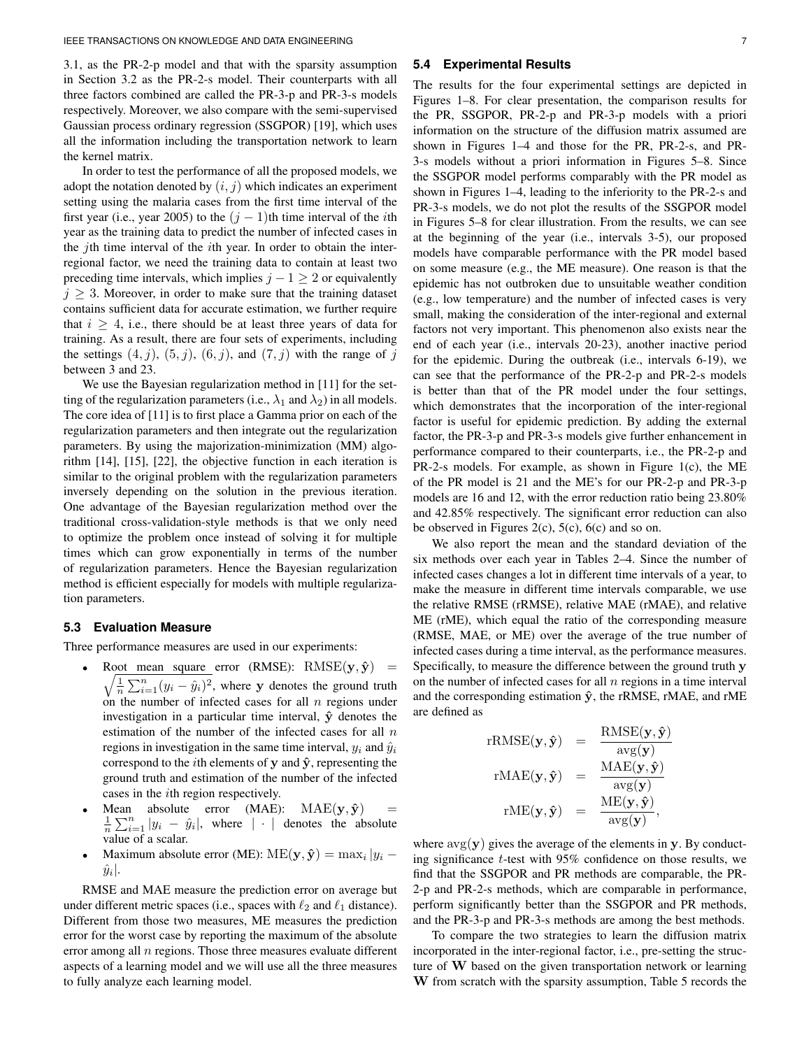3.1, as the PR-2-p model and that with the sparsity assumption in Section 3.2 as the PR-2-s model. Their counterparts with all three factors combined are called the PR-3-p and PR-3-s models respectively. Moreover, we also compare with the semi-supervised Gaussian process ordinary regression (SSGPOR) [19], which uses all the information including the transportation network to learn the kernel matrix.

In order to test the performance of all the proposed models, we adopt the notation denoted by  $(i, j)$  which indicates an experiment setting using the malaria cases from the first time interval of the first year (i.e., year 2005) to the  $(j - 1)$ th time interval of the *i*th year as the training data to predict the number of infected cases in the *j*th time interval of the *i*th year. In order to obtain the interregional factor, we need the training data to contain at least two preceding time intervals, which implies  $j - 1 \geq 2$  or equivalently  $j \geq 3$ . Moreover, in order to make sure that the training dataset contains sufficient data for accurate estimation, we further require that  $i \geq 4$ , i.e., there should be at least three years of data for training. As a result, there are four sets of experiments, including the settings  $(4, j)$ ,  $(5, j)$ ,  $(6, j)$ , and  $(7, j)$  with the range of j between 3 and 23.

We use the Bayesian regularization method in [11] for the setting of the regularization parameters (i.e.,  $\lambda_1$  and  $\lambda_2$ ) in all models. The core idea of [11] is to first place a Gamma prior on each of the regularization parameters and then integrate out the regularization parameters. By using the majorization-minimization (MM) algorithm [14], [15], [22], the objective function in each iteration is similar to the original problem with the regularization parameters inversely depending on the solution in the previous iteration. One advantage of the Bayesian regularization method over the traditional cross-validation-style methods is that we only need to optimize the problem once instead of solving it for multiple times which can grow exponentially in terms of the number of regularization parameters. Hence the Bayesian regularization method is efficient especially for models with multiple regularization parameters.

#### **5.3 Evaluation Measure**

Three performance measures are used in our experiments:

- Root mean square error (RMSE):  $RMSE(\mathbf{y}, \hat{\mathbf{y}})$  =  $\sqrt{\frac{1}{n}\sum_{i=1}^{n}(y_i - \hat{y}_i)^2}$ , where y denotes the ground truth on the number of infected cases for all  $n$  regions under investigation in a particular time interval,  $\hat{y}$  denotes the estimation of the number of the infected cases for all  $n$ regions in investigation in the same time interval,  $y_i$  and  $\hat{y}_i$ correspond to the *i*th elements of y and  $\hat{y}$ , representing the ground truth and estimation of the number of the infected cases in the ith region respectively.
- Mean absolute error (MAE):  $MAE(y, \hat{y})$  $\frac{1}{n}\sum_{i=1}^{n}|y_i - \hat{y}_i|$ , where  $|\cdot|$  denotes the absolute value of a scalar.
- Maximum absolute error (ME):  $\text{ME}(\mathbf{y}, \hat{\mathbf{y}}) = \max_i |y_i \hat{y}|$  $\hat{y}_i$  .

RMSE and MAE measure the prediction error on average but under different metric spaces (i.e., spaces with  $\ell_2$  and  $\ell_1$  distance). Different from those two measures, ME measures the prediction error for the worst case by reporting the maximum of the absolute error among all  $n$  regions. Those three measures evaluate different aspects of a learning model and we will use all the three measures to fully analyze each learning model.

#### **5.4 Experimental Results**

The results for the four experimental settings are depicted in Figures 1–8. For clear presentation, the comparison results for the PR, SSGPOR, PR-2-p and PR-3-p models with a priori information on the structure of the diffusion matrix assumed are shown in Figures 1–4 and those for the PR, PR-2-s, and PR-3-s models without a priori information in Figures 5–8. Since the SSGPOR model performs comparably with the PR model as shown in Figures 1–4, leading to the inferiority to the PR-2-s and PR-3-s models, we do not plot the results of the SSGPOR model in Figures 5–8 for clear illustration. From the results, we can see at the beginning of the year (i.e., intervals 3-5), our proposed models have comparable performance with the PR model based on some measure (e.g., the ME measure). One reason is that the epidemic has not outbroken due to unsuitable weather condition (e.g., low temperature) and the number of infected cases is very small, making the consideration of the inter-regional and external factors not very important. This phenomenon also exists near the end of each year (i.e., intervals 20-23), another inactive period for the epidemic. During the outbreak (i.e., intervals 6-19), we can see that the performance of the PR-2-p and PR-2-s models is better than that of the PR model under the four settings, which demonstrates that the incorporation of the inter-regional factor is useful for epidemic prediction. By adding the external factor, the PR-3-p and PR-3-s models give further enhancement in performance compared to their counterparts, i.e., the PR-2-p and PR-2-s models. For example, as shown in Figure 1(c), the ME of the PR model is 21 and the ME's for our PR-2-p and PR-3-p models are 16 and 12, with the error reduction ratio being 23.80% and 42.85% respectively. The significant error reduction can also be observed in Figures 2(c),  $5(c)$ ,  $6(c)$  and so on.

We also report the mean and the standard deviation of the six methods over each year in Tables 2–4. Since the number of infected cases changes a lot in different time intervals of a year, to make the measure in different time intervals comparable, we use the relative RMSE (rRMSE), relative MAE (rMAE), and relative ME (rME), which equal the ratio of the corresponding measure (RMSE, MAE, or ME) over the average of the true number of infected cases during a time interval, as the performance measures. Specifically, to measure the difference between the ground truth y on the number of infected cases for all  $n$  regions in a time interval and the corresponding estimation  $\hat{y}$ , the rRMSE, rMAE, and rME are defined as

$$
\begin{array}{rcl}\n\text{rRMSE}(\mathbf{y}, \hat{\mathbf{y}}) & = & \frac{\text{RMSE}(\mathbf{y}, \hat{\mathbf{y}})}{\text{avg}(\mathbf{y})} \\
\text{rMAE}(\mathbf{y}, \hat{\mathbf{y}}) & = & \frac{\text{MAE}(\mathbf{y}, \hat{\mathbf{y}})}{\text{avg}(\mathbf{y})} \\
\text{rME}(\mathbf{y}, \hat{\mathbf{y}}) & = & \frac{\text{ME}(\mathbf{y}, \hat{\mathbf{y}})}{\text{avg}(\mathbf{y})},\n\end{array}
$$

where  $\arg(y)$  gives the average of the elements in y. By conducting significance t-test with 95% confidence on those results, we find that the SSGPOR and PR methods are comparable, the PR-2-p and PR-2-s methods, which are comparable in performance, perform significantly better than the SSGPOR and PR methods, and the PR-3-p and PR-3-s methods are among the best methods.

To compare the two strategies to learn the diffusion matrix incorporated in the inter-regional factor, i.e., pre-setting the structure of W based on the given transportation network or learning W from scratch with the sparsity assumption, Table 5 records the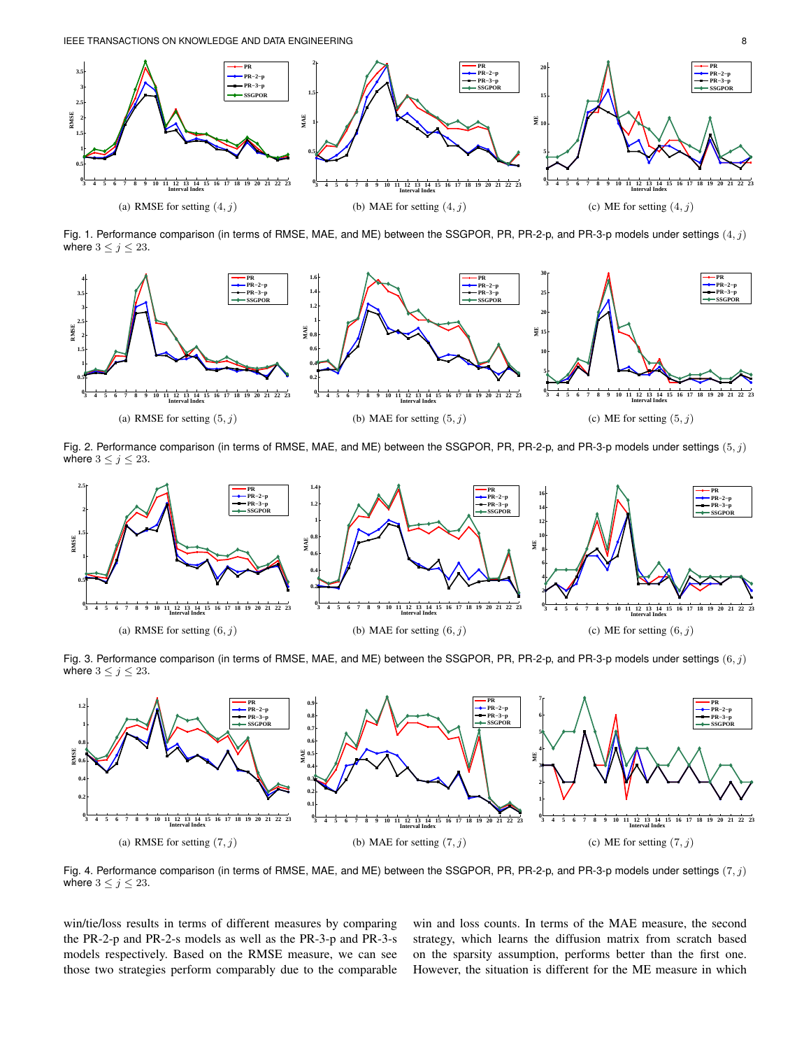

Fig. 1. Performance comparison (in terms of RMSE, MAE, and ME) between the SSGPOR, PR, PR-2-p, and PR-3-p models under settings  $(4, j)$ where  $3 \leq j \leq 23$ .



Fig. 2. Performance comparison (in terms of RMSE, MAE, and ME) between the SSGPOR, PR, PR-2-p, and PR-3-p models under settings  $(5, j)$ where  $3 \leq j \leq 23$ .



Fig. 3. Performance comparison (in terms of RMSE, MAE, and ME) between the SSGPOR, PR, PR-2-p, and PR-3-p models under settings  $(6, j)$ where  $3 \le j \le 23$ .



Fig. 4. Performance comparison (in terms of RMSE, MAE, and ME) between the SSGPOR, PR, PR-2-p, and PR-3-p models under settings  $(7, j)$ where  $3 \leq j \leq 23$ .

win/tie/loss results in terms of different measures by comparing the PR-2-p and PR-2-s models as well as the PR-3-p and PR-3-s models respectively. Based on the RMSE measure, we can see those two strategies perform comparably due to the comparable win and loss counts. In terms of the MAE measure, the second strategy, which learns the diffusion matrix from scratch based on the sparsity assumption, performs better than the first one. However, the situation is different for the ME measure in which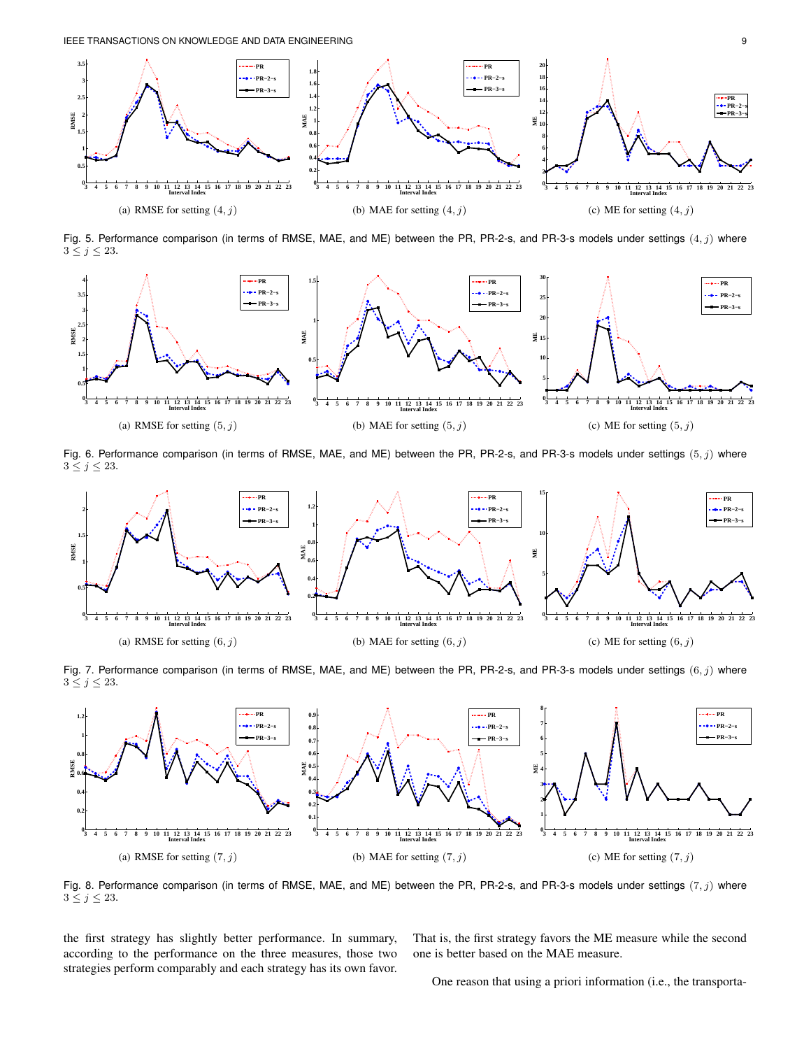

Fig. 5. Performance comparison (in terms of RMSE, MAE, and ME) between the PR, PR-2-s, and PR-3-s models under settings  $(4, j)$  where  $3 \leq j \leq 23$ .



Fig. 6. Performance comparison (in terms of RMSE, MAE, and ME) between the PR, PR-2-s, and PR-3-s models under settings  $(5, j)$  where  $3 \leq j \leq 23$ .



Fig. 7. Performance comparison (in terms of RMSE, MAE, and ME) between the PR, PR-2-s, and PR-3-s models under settings  $(6, j)$  where  $3 \leq j \leq 23$ .



Fig. 8. Performance comparison (in terms of RMSE, MAE, and ME) between the PR, PR-2-s, and PR-3-s models under settings  $(7, j)$  where  $3 \leq j \leq 23$ .

the first strategy has slightly better performance. In summary, according to the performance on the three measures, those two strategies perform comparably and each strategy has its own favor. That is, the first strategy favors the ME measure while the second one is better based on the MAE measure.

One reason that using a priori information (i.e., the transporta-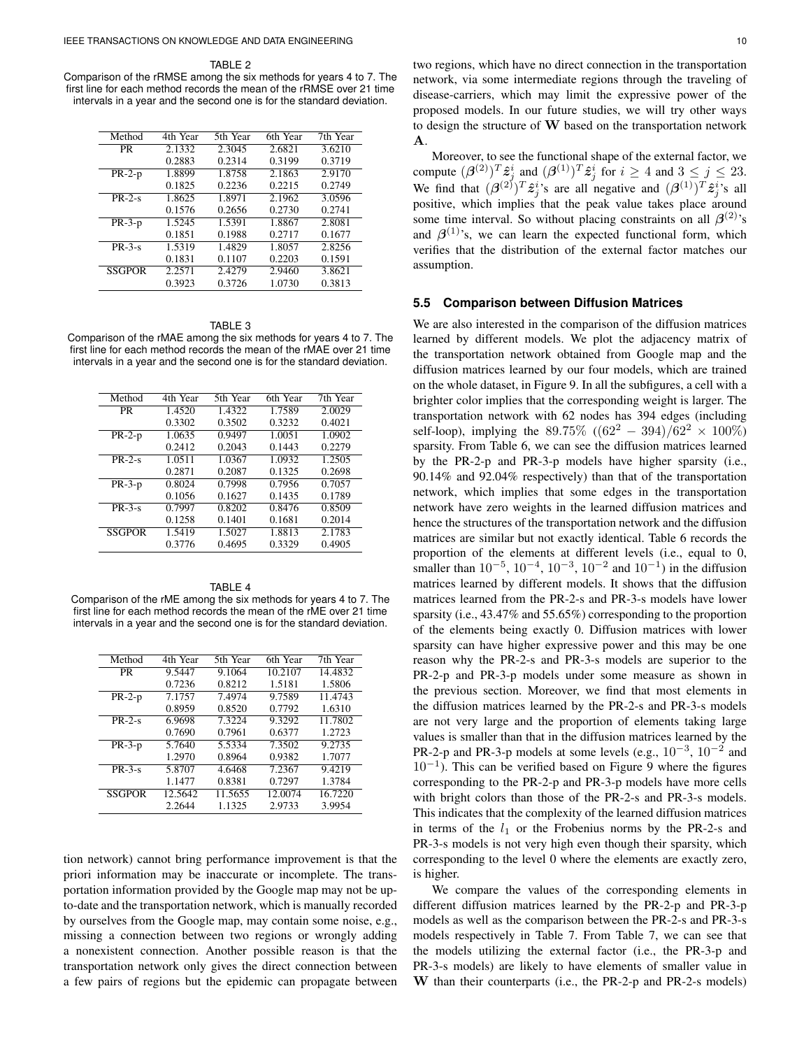TABLE<sub>2</sub>

Comparison of the rRMSE among the six methods for years 4 to 7. The first line for each method records the mean of the rRMSE over 21 time intervals in a year and the second one is for the standard deviation.

| Method        | 4th Year | 5th Year | 6th Year | 7th Year |
|---------------|----------|----------|----------|----------|
| <b>PR</b>     | 2.1332   | 2.3045   | 2.6821   | 3.6210   |
|               | 0.2883   | 0.2314   | 0.3199   | 0.3719   |
| $PR-2-p$      | 1.8899   | 1.8758   | 2.1863   | 2.9170   |
|               | 0.1825   | 0.2236   | 0.2215   | 0.2749   |
| $PR-2-s$      | 1.8625   | 1.8971   | 2.1962   | 3.0596   |
|               | 0.1576   | 0.2656   | 0.2730   | 0.2741   |
| $PR-3-p$      | 1.5245   | 1.5391   | 1.8867   | 2.8081   |
|               | 0.1851   | 0.1988   | 0.2717   | 0.1677   |
| $PR-3-s$      | 1.5319   | 1.4829   | 1.8057   | 2.8256   |
|               | 0.1831   | 0.1107   | 0.2203   | 0.1591   |
| <b>SSGPOR</b> | 2.2571   | 2.4279   | 2.9460   | 3.8621   |
|               | 0.3923   | 0.3726   | 1.0730   | 0.3813   |

TABLE 3 Comparison of the rMAE among the six methods for years 4 to 7. The first line for each method records the mean of the rMAE over 21 time intervals in a year and the second one is for the standard deviation.

| Method        | 4th Year | 5th Year | 6th Year | 7th Year |
|---------------|----------|----------|----------|----------|
| <b>PR</b>     | 1.4520   | 1.4322   | 1.7589   | 2.0029   |
|               | 0.3302   | 0.3502   | 0.3232   | 0.4021   |
| $PR-2-p$      | 1.0635   | 0.9497   | 1.0051   | 1.0902   |
|               | 0.2412   | 0.2043   | 0.1443   | 0.2279   |
| $PR-2-s$      | 1.0511   | 1.0367   | 1.0932   | 1.2505   |
|               | 0.2871   | 0.2087   | 0.1325   | 0.2698   |
| $PR-3-p$      | 0.8024   | 0.7998   | 0.7956   | 0.7057   |
|               | 0.1056   | 0.1627   | 0.1435   | 0.1789   |
| $PR-3-s$      | 0.7997   | 0.8202   | 0.8476   | 0.8509   |
|               | 0.1258   | 0.1401   | 0.1681   | 0.2014   |
| <b>SSGPOR</b> | 1.5419   | 1.5027   | 1.8813   | 2.1783   |
|               | 0.3776   | 0.4695   | 0.3329   | 0.4905   |
|               |          |          |          |          |

TABLE 4 Comparison of the rME among the six methods for years 4 to 7. The first line for each method records the mean of the rME over 21 time intervals in a year and the second one is for the standard deviation.

| Method        | 4th Year | 5th Year | 6th Year | 7th Year |
|---------------|----------|----------|----------|----------|
| <b>PR</b>     | 9.5447   | 9.1064   | 10.2107  | 14.4832  |
|               | 0.7236   | 0.8212   | 1.5181   | 1.5806   |
| $PR-2-p$      | 7.1757   | 7.4974   | 9.7589   | 11.4743  |
|               | 0.8959   | 0.8520   | 0.7792   | 1.6310   |
| $PR-2-s$      | 6.9698   | 7.3224   | 9.3292   | 11.7802  |
|               | 0.7690   | 0.7961   | 0.6377   | 1.2723   |
| $PR-3-p$      | 5.7640   | 5.5334   | 7.3502   | 9.2735   |
|               | 1.2970   | 0.8964   | 0.9382   | 1.7077   |
| $PR-3-s$      | 5.8707   | 4.6468   | 7.2367   | 9.4219   |
|               | 1.1477   | 0.8381   | 0.7297   | 1.3784   |
| <b>SSGPOR</b> | 12.5642  | 11.5655  | 12.0074  | 16.7220  |
|               | 2.2644   | 1.1325   | 2.9733   | 3.9954   |

tion network) cannot bring performance improvement is that the priori information may be inaccurate or incomplete. The transportation information provided by the Google map may not be upto-date and the transportation network, which is manually recorded by ourselves from the Google map, may contain some noise, e.g., missing a connection between two regions or wrongly adding a nonexistent connection. Another possible reason is that the transportation network only gives the direct connection between a few pairs of regions but the epidemic can propagate between two regions, which have no direct connection in the transportation network, via some intermediate regions through the traveling of disease-carriers, which may limit the expressive power of the proposed models. In our future studies, we will try other ways to design the structure of  $W$  based on the transportation network A.

Moreover, to see the functional shape of the external factor, we compute  $(\beta^{(2)})^T \hat{z}_j^i$  and  $(\beta^{(1)})^T \hat{z}_j^i$  for  $i \ge 4$  and  $3 \le j \le 23$ . We find that  $(\beta^{(2)})^T \hat{z}_j^i$ 's are all negative and  $(\beta^{(1)})^T \hat{z}_j^i$ 's all positive, which implies that the peak value takes place around some time interval. So without placing constraints on all  $\beta^{(2)}$ 's and  $\beta^{(1)}$ 's, we can learn the expected functional form, which verifies that the distribution of the external factor matches our assumption.

### **5.5 Comparison between Diffusion Matrices**

We are also interested in the comparison of the diffusion matrices learned by different models. We plot the adjacency matrix of the transportation network obtained from Google map and the diffusion matrices learned by our four models, which are trained on the whole dataset, in Figure 9. In all the subfigures, a cell with a brighter color implies that the corresponding weight is larger. The transportation network with 62 nodes has 394 edges (including self-loop), implying the 89.75%  $((62^2 - 394)/62^2 \times 100\%)$ sparsity. From Table 6, we can see the diffusion matrices learned by the PR-2-p and PR-3-p models have higher sparsity (i.e., 90.14% and 92.04% respectively) than that of the transportation network, which implies that some edges in the transportation network have zero weights in the learned diffusion matrices and hence the structures of the transportation network and the diffusion matrices are similar but not exactly identical. Table 6 records the proportion of the elements at different levels (i.e., equal to 0, smaller than  $10^{-5}$ ,  $10^{-4}$ ,  $10^{-3}$ ,  $10^{-2}$  and  $10^{-1}$ ) in the diffusion matrices learned by different models. It shows that the diffusion matrices learned from the PR-2-s and PR-3-s models have lower sparsity (i.e., 43.47% and 55.65%) corresponding to the proportion of the elements being exactly 0. Diffusion matrices with lower sparsity can have higher expressive power and this may be one reason why the PR-2-s and PR-3-s models are superior to the PR-2-p and PR-3-p models under some measure as shown in the previous section. Moreover, we find that most elements in the diffusion matrices learned by the PR-2-s and PR-3-s models are not very large and the proportion of elements taking large values is smaller than that in the diffusion matrices learned by the PR-2-p and PR-3-p models at some levels (e.g.,  $10^{-3}$ ,  $10^{-2}$  and  $10^{-1}$ ). This can be verified based on Figure 9 where the figures corresponding to the PR-2-p and PR-3-p models have more cells with bright colors than those of the PR-2-s and PR-3-s models. This indicates that the complexity of the learned diffusion matrices in terms of the  $l_1$  or the Frobenius norms by the PR-2-s and PR-3-s models is not very high even though their sparsity, which corresponding to the level 0 where the elements are exactly zero, is higher.

We compare the values of the corresponding elements in different diffusion matrices learned by the PR-2-p and PR-3-p models as well as the comparison between the PR-2-s and PR-3-s models respectively in Table 7. From Table 7, we can see that the models utilizing the external factor (i.e., the PR-3-p and PR-3-s models) are likely to have elements of smaller value in W than their counterparts (i.e., the PR-2-p and PR-2-s models)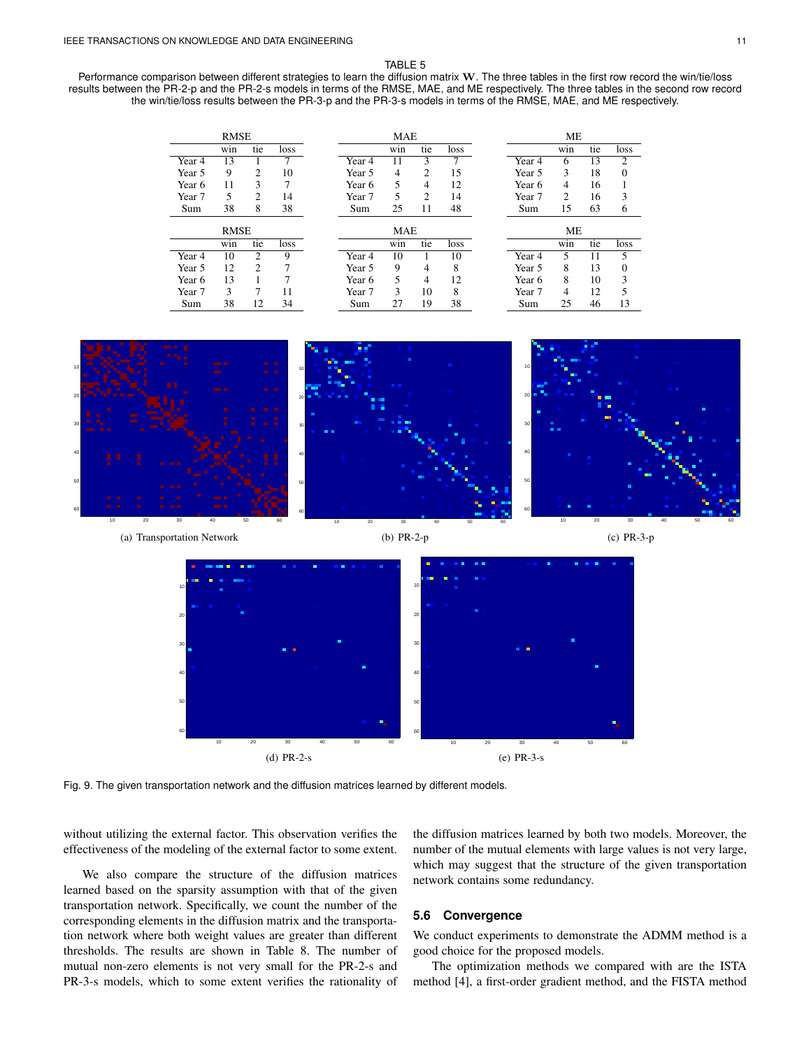#### TABLE 5

Performance comparison between different strategies to learn the diffusion matrix W. The three tables in the first row record the win/tie/loss results between the PR-2-p and the PR-2-s models in terms of the RMSE, MAE, and ME respectively. The three tables in the second row record the win/tie/loss results between the PR-3-p and the PR-3-s models in terms of the RMSE, MAE, and ME respectively.







Fig. 9. The given transportation network and the diffusion matrices learned by different models.

without utilizing the external factor. This observation verifies the effectiveness of the modeling of the external factor to some extent.

We also compare the structure of the diffusion matrices learned based on the sparsity assumption with that of the given transportation network. Specifically, we count the number of the corresponding elements in the diffusion matrix and the transportation network where both weight values are greater than different thresholds. The results are shown in Table 8. The number of mutual non-zero elements is not very small for the PR-2-s and PR-3-s models, which to some extent verifies the rationality of

the diffusion matrices learned by both two models. Moreover, the number of the mutual elements with large values is not very large, which may suggest that the structure of the given transportation network contains some redundancy.

# **5.6 Convergence**

We conduct experiments to demonstrate the ADMM method is a good choice for the proposed models.

The optimization methods we compared with are the ISTA method [4], a first-order gradient method, and the FISTA method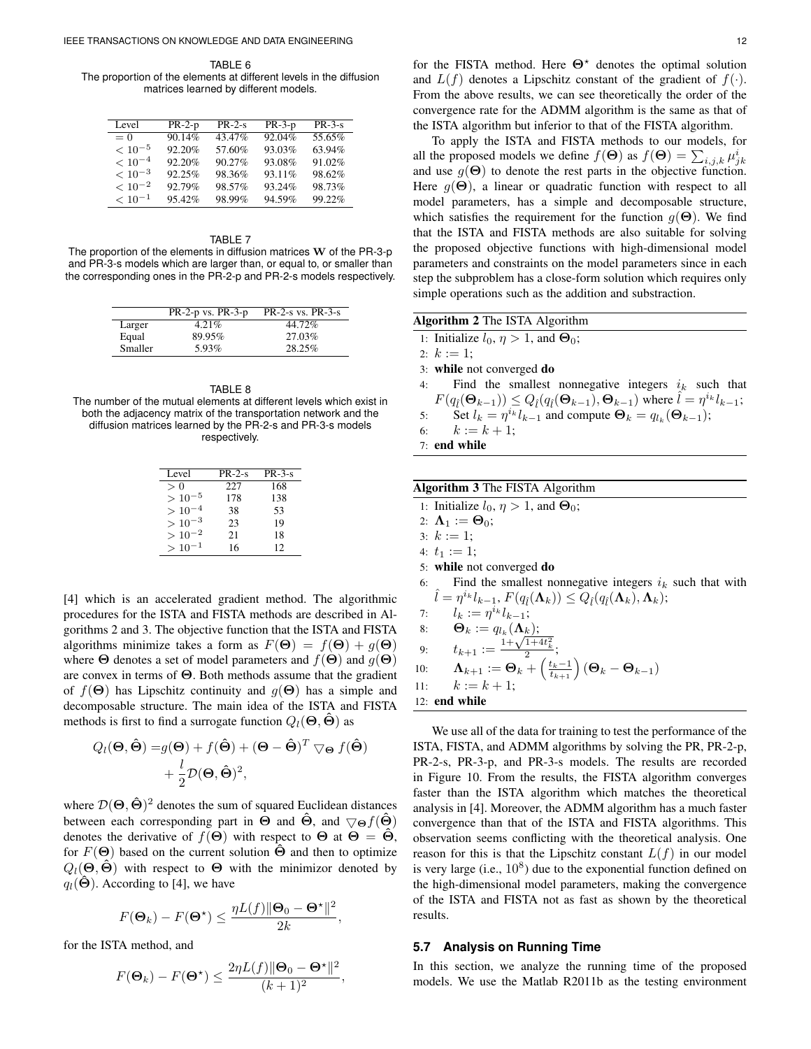TABLE 6 The proportion of the elements at different levels in the diffusion matrices learned by different models.

| Level       | $PR-2-p$ | $PR-2-s$ | $PR-3-p$ | $PR-3-s$ |
|-------------|----------|----------|----------|----------|
| $= 0$       | 90.14%   | 43.47%   | 92.04%   | 55.65%   |
| $< 10^{-5}$ | 92.20%   | 57.60%   | 93.03%   | 63.94%   |
| $< 10^{-4}$ | 92.20%   | 90.27%   | 93.08%   | 91.02%   |
| $< 10^{-3}$ | 92.25%   | 98.36%   | 93.11%   | 98.62%   |
| $< 10^{-2}$ | 92.79%   | 98.57%   | 93.24%   | 98.73%   |
| $< 10^{-1}$ | 95.42%   | 98.99%   | 94.59%   | 99.22%   |

#### TABLE 7

The proportion of the elements in diffusion matrices  $W$  of the PR-3-p and PR-3-s models which are larger than, or equal to, or smaller than the corresponding ones in the PR-2-p and PR-2-s models respectively.

|         | $PR-2-p$ vs. $PR-3-p$ | $PR-2-s$ vs. $PR-3-s$ |
|---------|-----------------------|-----------------------|
| Larger  | $4.21\%$              | 44.72%                |
| Equal   | 89.95%                | 27.03%                |
| Smaller | 5.93%                 | 28.25%                |

TABLE 8

The number of the mutual elements at different levels which exist in both the adjacency matrix of the transportation network and the diffusion matrices learned by the PR-2-s and PR-3-s models respectively.

| Level       | $PR-2-s$ | $PR-3-s$ |
|-------------|----------|----------|
| > 0         | 227      | 168      |
| $> 10^{-5}$ | 178      | 138      |
| $> 10^{-4}$ | 38       | 53       |
| $> 10^{-3}$ | 23       | 19       |
| $>10^{-2}$  | 21       | 18       |
| $> 10^{-1}$ | 16       | 12       |

[4] which is an accelerated gradient method. The algorithmic procedures for the ISTA and FISTA methods are described in Algorithms 2 and 3. The objective function that the ISTA and FISTA algorithms minimize takes a form as  $F(\Theta) = f(\Theta) + g(\Theta)$ where  $\Theta$  denotes a set of model parameters and  $f(\Theta)$  and  $g(\Theta)$ are convex in terms of Θ. Both methods assume that the gradient of  $f(\Theta)$  has Lipschitz continuity and  $g(\Theta)$  has a simple and decomposable structure. The main idea of the ISTA and FISTA methods is first to find a surrogate function  $Q_l(\Theta, \tilde{\Theta})$  as

$$
Q_l(\mathbf{\Theta}, \hat{\mathbf{\Theta}}) = g(\mathbf{\Theta}) + f(\hat{\mathbf{\Theta}}) + (\mathbf{\Theta} - \hat{\mathbf{\Theta}})^T \nabla_{\mathbf{\Theta}} f(\hat{\mathbf{\Theta}})
$$

$$
+ \frac{l}{2} \mathcal{D}(\mathbf{\Theta}, \hat{\mathbf{\Theta}})^2,
$$

where  $\mathcal{D}(\Theta, \hat{\Theta})^2$  denotes the sum of squared Euclidean distances between each corresponding part in  $\Theta$  and  $\Theta$ , and  $\nabla_{\Theta} f(\Theta)$ denotes the derivative of  $f(\Theta)$  with respect to  $\Theta$  at  $\Theta = \hat{\Theta}$ , for  $F(\Theta)$  based on the current solution  $\Theta$  and then to optimize  $Q_l(\Theta, \hat{\Theta})$  with respect to  $\Theta$  with the minimizor denoted by  $q_l(\Theta)$ . According to [4], we have

$$
F(\mathbf{\Theta}_k) - F(\mathbf{\Theta}^{\star}) \le \frac{\eta L(f) \|\mathbf{\Theta}_0 - \mathbf{\Theta}^{\star}\|^2}{2k},
$$

for the ISTA method, and

$$
F(\mathbf{\Theta}_k) - F(\mathbf{\Theta}^{\star}) \le \frac{2\eta L(f) \|\mathbf{\Theta}_0 - \mathbf{\Theta}^{\star}\|^2}{(k+1)^2},
$$

for the FISTA method. Here  $\Theta^*$  denotes the optimal solution and  $L(f)$  denotes a Lipschitz constant of the gradient of  $f(\cdot)$ . From the above results, we can see theoretically the order of the convergence rate for the ADMM algorithm is the same as that of the ISTA algorithm but inferior to that of the FISTA algorithm.

To apply the ISTA and FISTA methods to our models, for all the proposed models we define  $f(\mathbf{\Theta})$  as  $f(\mathbf{\Theta}) = \sum_{i,j,k} \mu_{jk}^i$ and use  $g(\Theta)$  to denote the rest parts in the objective function. Here  $g(\Theta)$ , a linear or quadratic function with respect to all model parameters, has a simple and decomposable structure, which satisfies the requirement for the function  $q(\Theta)$ . We find that the ISTA and FISTA methods are also suitable for solving the proposed objective functions with high-dimensional model parameters and constraints on the model parameters since in each step the subproblem has a close-form solution which requires only simple operations such as the addition and substraction.

| <b>Algorithm 2</b> The ISTA Algorithm                                                                                                                      |
|------------------------------------------------------------------------------------------------------------------------------------------------------------|
| 1: Initialize $l_0, \eta > 1$ , and $\Theta_0$ ;                                                                                                           |
| 2: $k := 1$ :                                                                                                                                              |
| 3: while not converged do                                                                                                                                  |
| 4: Find the smallest nonnegative integers $i_k$ such that                                                                                                  |
| $F(q_{\hat{l}}(\mathbf{\Theta}_{k-1})) \leq Q_{\hat{l}}(q_{\hat{l}}(\mathbf{\Theta}_{k-1}), \mathbf{\Theta}_{k-1})$ where $\hat{l} = \eta^{i_k} l_{k-1}$ ; |
| 5: Set $l_k = \eta^{i_k} l_{k-1}$ and compute $\Theta_k = q_{l_k}(\Theta_{k-1});$                                                                          |
| 6: $k := k + 1$ :                                                                                                                                          |
| $7:$ end while                                                                                                                                             |
|                                                                                                                                                            |
|                                                                                                                                                            |
| <b>Algorithm 3</b> The FISTA Algorithm                                                                                                                     |

1: Initialize  $l_0$ ,  $\eta > 1$ , and  $\Theta_0$ ;

2:  $\mathbf{\Lambda}_1 := \mathbf{\Theta}_0;$ 

3:  $k := 1$ ;

4:  $t_1 := 1$ ;

- 5: while not converged do
- 6: Find the smallest nonnegative integers  $i_k$  such that with  $\hat{l} = \eta^{i_k} l_{k-1}, F(q_{\hat{l}}(\mathbf{\Lambda}_k)) \leq Q_{\hat{l}}(q_{\hat{l}}(\mathbf{\Lambda}_k), \mathbf{\Lambda}_k);$
- 7:  $l_k := \eta^{i_k} l_{k-1};$
- 8:  $\mathbf{\Theta}_k := q_{l_k}(\mathbf{\Lambda}_k);$

9: 
$$
t_{k+1} := \frac{1 + \sqrt{1 + 4t_k^2}}{2}
$$

10: 
$$
\mathbf{\Lambda}_{k+1} := \mathbf{\Theta}_k + \left(\frac{t_k - 1}{t_{k+1}}\right) (\mathbf{\Theta}_k - \mathbf{\Theta}_{k-1})
$$

;

11:  $k := k + 1$ ;

12: end while

We use all of the data for training to test the performance of the ISTA, FISTA, and ADMM algorithms by solving the PR, PR-2-p, PR-2-s, PR-3-p, and PR-3-s models. The results are recorded in Figure 10. From the results, the FISTA algorithm converges faster than the ISTA algorithm which matches the theoretical analysis in [4]. Moreover, the ADMM algorithm has a much faster convergence than that of the ISTA and FISTA algorithms. This observation seems conflicting with the theoretical analysis. One reason for this is that the Lipschitz constant  $L(f)$  in our model is very large (i.e.,  $10^8$ ) due to the exponential function defined on the high-dimensional model parameters, making the convergence of the ISTA and FISTA not as fast as shown by the theoretical results.

#### **5.7 Analysis on Running Time**

In this section, we analyze the running time of the proposed models. We use the Matlab R2011b as the testing environment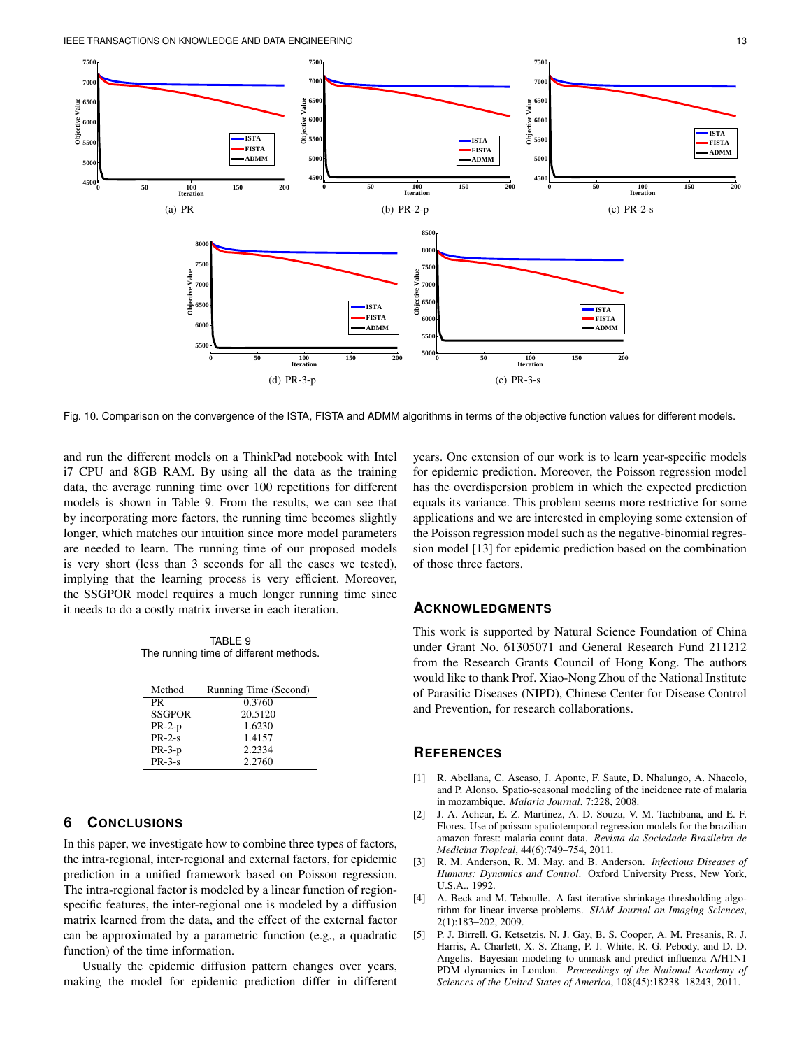

Fig. 10. Comparison on the convergence of the ISTA, FISTA and ADMM algorithms in terms of the objective function values for different models.

and run the different models on a ThinkPad notebook with Intel i7 CPU and 8GB RAM. By using all the data as the training data, the average running time over 100 repetitions for different models is shown in Table 9. From the results, we can see that by incorporating more factors, the running time becomes slightly longer, which matches our intuition since more model parameters are needed to learn. The running time of our proposed models is very short (less than 3 seconds for all the cases we tested), implying that the learning process is very efficient. Moreover, the SSGPOR model requires a much longer running time since it needs to do a costly matrix inverse in each iteration.

TABLE 9 The running time of different methods.

| Method        | Running Time (Second) |
|---------------|-----------------------|
| PR            | 0.3760                |
| <b>SSGPOR</b> | 20.5120               |
| $PR-2-p$      | 1.6230                |
| $PR-2-s$      | 1.4157                |
| $PR-3-p$      | 2.2334                |
| $PR-3-s$      | 2.2760                |

## **6 CONCLUSIONS**

In this paper, we investigate how to combine three types of factors, the intra-regional, inter-regional and external factors, for epidemic prediction in a unified framework based on Poisson regression. The intra-regional factor is modeled by a linear function of regionspecific features, the inter-regional one is modeled by a diffusion matrix learned from the data, and the effect of the external factor can be approximated by a parametric function (e.g., a quadratic function) of the time information.

Usually the epidemic diffusion pattern changes over years, making the model for epidemic prediction differ in different years. One extension of our work is to learn year-specific models for epidemic prediction. Moreover, the Poisson regression model has the overdispersion problem in which the expected prediction equals its variance. This problem seems more restrictive for some applications and we are interested in employing some extension of the Poisson regression model such as the negative-binomial regression model [13] for epidemic prediction based on the combination of those three factors.

### **ACKNOWLEDGMENTS**

This work is supported by Natural Science Foundation of China under Grant No. 61305071 and General Research Fund 211212 from the Research Grants Council of Hong Kong. The authors would like to thank Prof. Xiao-Nong Zhou of the National Institute of Parasitic Diseases (NIPD), Chinese Center for Disease Control and Prevention, for research collaborations.

## **REFERENCES**

- [1] R. Abellana, C. Ascaso, J. Aponte, F. Saute, D. Nhalungo, A. Nhacolo, and P. Alonso. Spatio-seasonal modeling of the incidence rate of malaria in mozambique. *Malaria Journal*, 7:228, 2008.
- [2] J. A. Achcar, E. Z. Martinez, A. D. Souza, V. M. Tachibana, and E. F. Flores. Use of poisson spatiotemporal regression models for the brazilian amazon forest: malaria count data. *Revista da Sociedade Brasileira de Medicina Tropical*, 44(6):749–754, 2011.
- [3] R. M. Anderson, R. M. May, and B. Anderson. *Infectious Diseases of Humans: Dynamics and Control*. Oxford University Press, New York,  $I.S.A.$  1992.
- [4] A. Beck and M. Teboulle. A fast iterative shrinkage-thresholding algorithm for linear inverse problems. *SIAM Journal on Imaging Sciences*, 2(1):183–202, 2009.
- [5] P. J. Birrell, G. Ketsetzis, N. J. Gay, B. S. Cooper, A. M. Presanis, R. J. Harris, A. Charlett, X. S. Zhang, P. J. White, R. G. Pebody, and D. D. Angelis. Bayesian modeling to unmask and predict influenza A/H1N1 PDM dynamics in London. *Proceedings of the National Academy of Sciences of the United States of America*, 108(45):18238–18243, 2011.